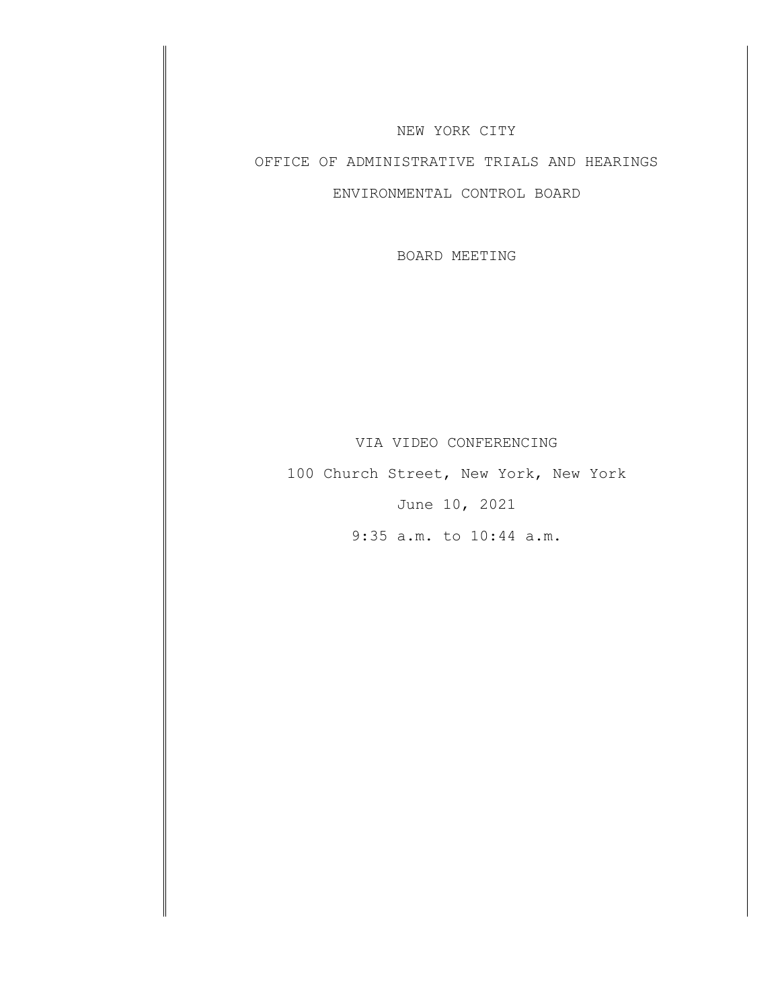#### NEW YORK CITY

# OFFICE OF ADMINISTRATIVE TRIALS AND HEARINGS

#### ENVIRONMENTAL CONTROL BOARD

BOARD MEETING

### VIA VIDEO CONFERENCING

100 Church Street, New York, New York June 10, 2021

9:35 a.m. to 10:44 a.m.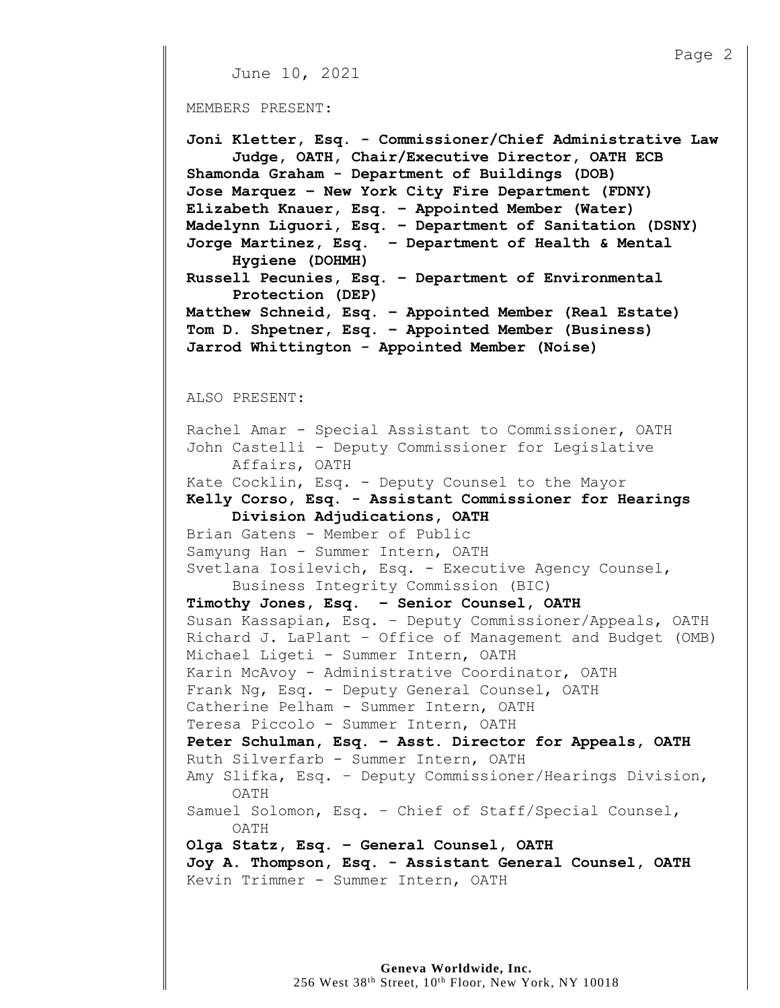```
Page 2
     June 10, 2021
MEMBERS PRESENT:
Joni Kletter, Esq. - Commissioner/Chief Administrative Law
     Judge, OATH, Chair/Executive Director, OATH ECB
Shamonda Graham - Department of Buildings (DOB)
Jose Marquez – New York City Fire Department (FDNY)
Elizabeth Knauer, Esq. – Appointed Member (Water) 
Madelynn Liguori, Esq. – Department of Sanitation (DSNY)
Jorge Martinez, Esq. – Department of Health & Mental
     Hygiene (DOHMH)
Russell Pecunies, Esq. – Department of Environmental 
     Protection (DEP)
Matthew Schneid, Esq. – Appointed Member (Real Estate)
Tom D. Shpetner, Esq. – Appointed Member (Business) 
Jarrod Whittington - Appointed Member (Noise)
ALSO PRESENT:
Rachel Amar - Special Assistant to Commissioner, OATH
John Castelli - Deputy Commissioner for Legislative 
     Affairs, OATH
Kate Cocklin, Esq. - Deputy Counsel to the Mayor
Kelly Corso, Esq. - Assistant Commissioner for Hearings
     Division Adjudications, OATH
Brian Gatens - Member of Public
Samyung Han - Summer Intern, OATH
Svetlana Iosilevich, Esq. - Executive Agency Counsel,
     Business Integrity Commission (BIC)
Timothy Jones, Esq. – Senior Counsel, OATH
Susan Kassapian, Esq. – Deputy Commissioner/Appeals, OATH
Richard J. LaPlant – Office of Management and Budget (OMB)
Michael Ligeti - Summer Intern, OATH 
Karin McAvoy - Administrative Coordinator, OATH
Frank Ng, Esq. - Deputy General Counsel, OATH
Catherine Pelham - Summer Intern, OATH
Teresa Piccolo - Summer Intern, OATH
Peter Schulman, Esq. – Asst. Director for Appeals, OATH
Ruth Silverfarb - Summer Intern, OATH
Amy Slifka, Esq. – Deputy Commissioner/Hearings Division,
     OATH
Samuel Solomon, Esq. – Chief of Staff/Special Counsel,
     OATH
Olga Statz, Esq. – General Counsel, OATH
Joy A. Thompson, Esq. - Assistant General Counsel, OATH 
Kevin Trimmer - Summer Intern, OATH
```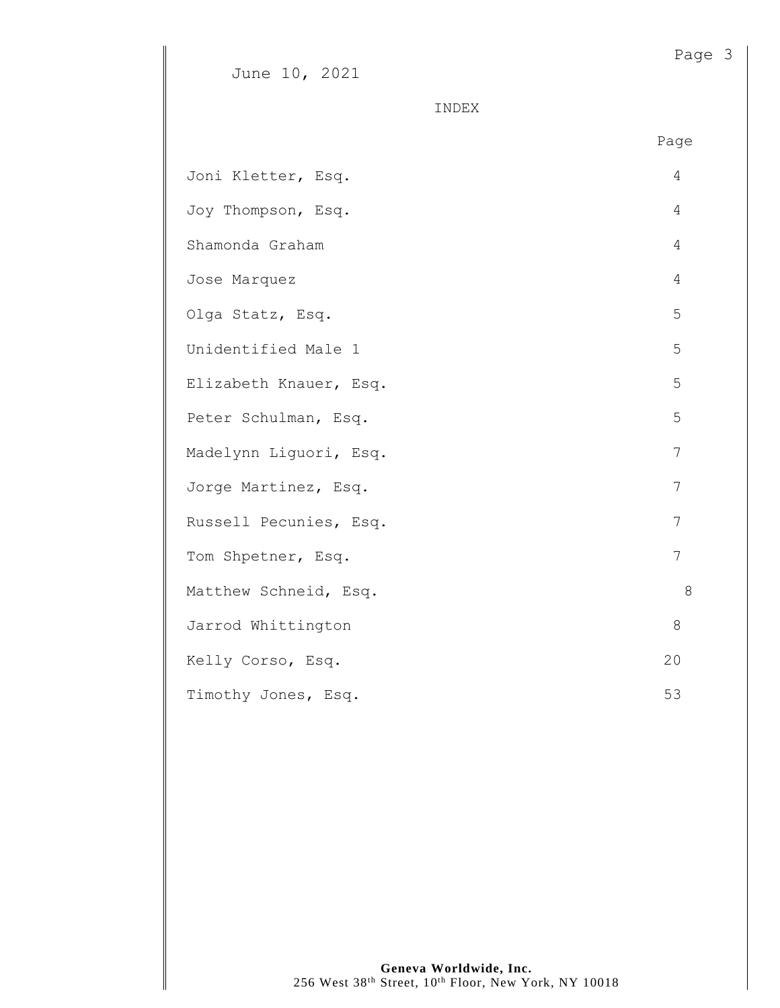INDEX

|                        | Page  |
|------------------------|-------|
| Joni Kletter, Esq.     | 4     |
| Joy Thompson, Esq.     | 4     |
| Shamonda Graham        | 4     |
| Jose Marquez           | 4     |
| Olga Statz, Esq.       | 5     |
| Unidentified Male 1    | 5     |
| Elizabeth Knauer, Esq. | 5     |
| Peter Schulman, Esq.   | 5     |
| Madelynn Liquori, Esq. | 7     |
| Jorge Martinez, Esq.   | 7     |
| Russell Pecunies, Esq. | 7     |
| Tom Shpetner, Esq.     | 7     |
| Matthew Schneid, Esq.  | $8\,$ |
| Jarrod Whittington     | 8     |
| Kelly Corso, Esq.      | 20    |
| Timothy Jones, Esq.    | 53    |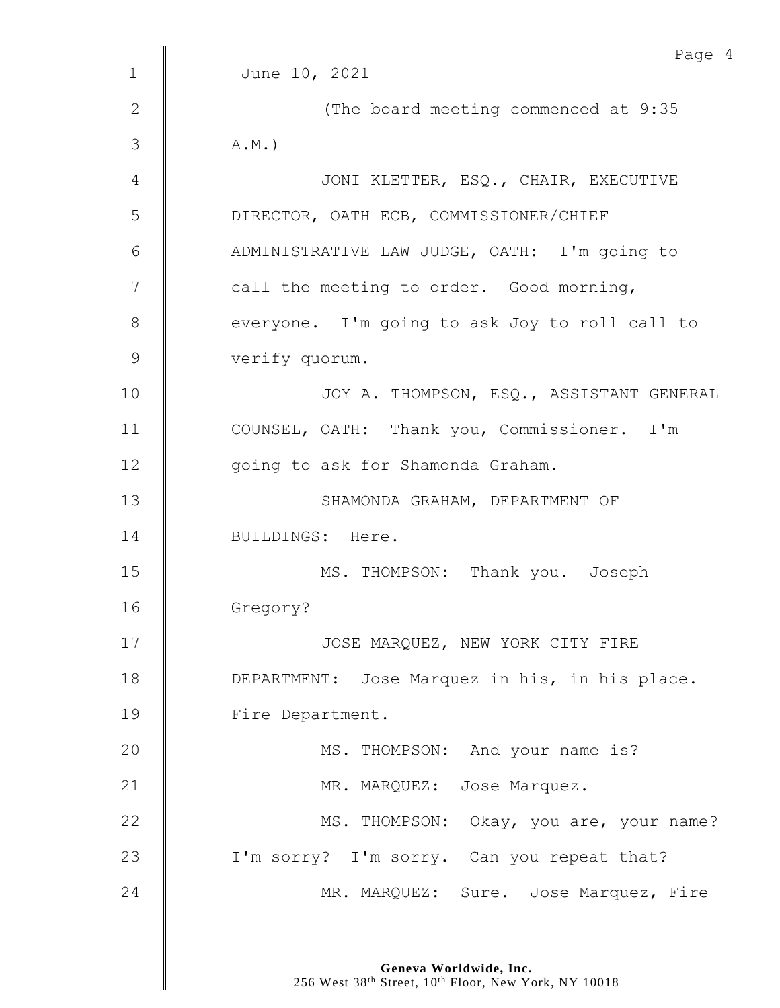|               | Page 4                                         |
|---------------|------------------------------------------------|
| $\mathbf{1}$  | June 10, 2021                                  |
| $\mathbf{2}$  | (The board meeting commenced at 9:35           |
| $\mathcal{S}$ | $A.M.$ )                                       |
| 4             | JONI KLETTER, ESQ., CHAIR, EXECUTIVE           |
| 5             | DIRECTOR, OATH ECB, COMMISSIONER/CHIEF         |
| 6             | ADMINISTRATIVE LAW JUDGE, OATH: I'm going to   |
| 7             | call the meeting to order. Good morning,       |
| 8             | everyone. I'm going to ask Joy to roll call to |
| $\mathcal{G}$ | verify quorum.                                 |
| 10            | JOY A. THOMPSON, ESQ., ASSISTANT GENERAL       |
| 11            | COUNSEL, OATH: Thank you, Commissioner. I'm    |
| 12            | going to ask for Shamonda Graham.              |
| 13            | SHAMONDA GRAHAM, DEPARTMENT OF                 |
| 14            | BUILDINGS: Here.                               |
| 15            | MS. THOMPSON: Thank you. Joseph                |
| 16            | Gregory?                                       |
| 17            | JOSE MARQUEZ, NEW YORK CITY FIRE               |
| 18            | DEPARTMENT: Jose Marquez in his, in his place. |
| 19            | Fire Department.                               |
| 20            | MS. THOMPSON: And your name is?                |
| 21            | MR. MARQUEZ: Jose Marquez.                     |
| 22            | MS. THOMPSON: Okay, you are, your name?        |
| 23            | I'm sorry? I'm sorry. Can you repeat that?     |
|               |                                                |
| 24            | MR. MARQUEZ: Sure. Jose Marquez, Fire          |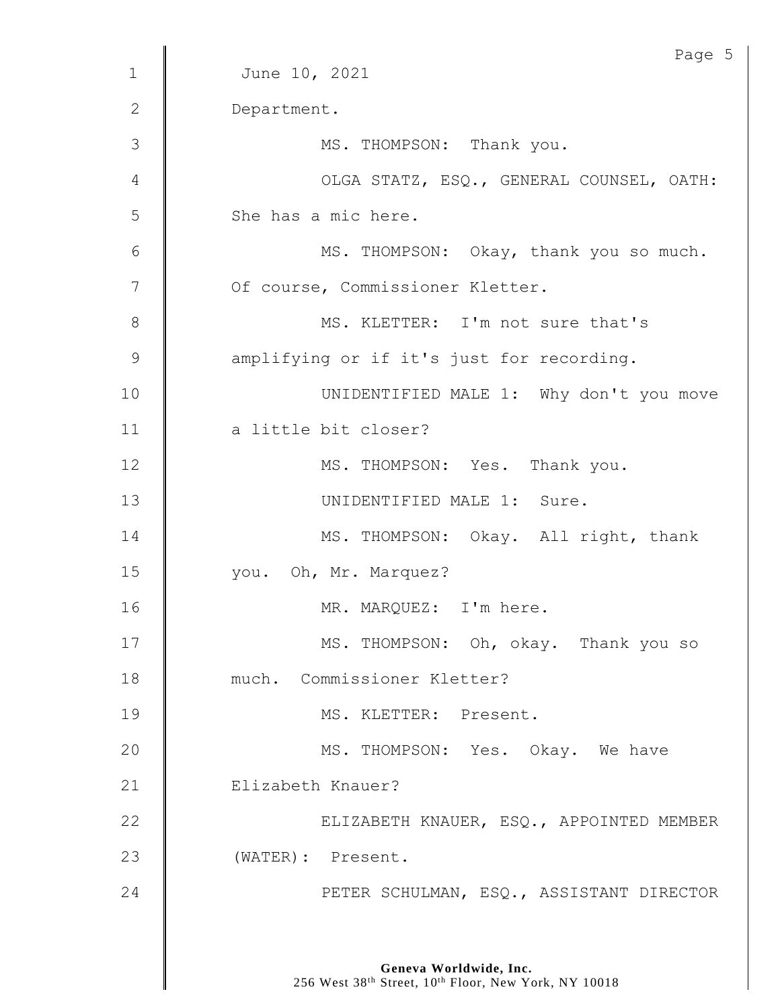|              | Page 5                                    |
|--------------|-------------------------------------------|
| $\mathbf{1}$ | June 10, 2021                             |
| 2            | Department.                               |
| 3            | MS. THOMPSON: Thank you.                  |
| 4            | OLGA STATZ, ESQ., GENERAL COUNSEL, OATH:  |
| 5            | She has a mic here.                       |
| 6            | MS. THOMPSON: Okay, thank you so much.    |
| 7            | Of course, Commissioner Kletter.          |
| 8            | MS. KLETTER: I'm not sure that's          |
| 9            | amplifying or if it's just for recording. |
| 10           | UNIDENTIFIED MALE 1: Why don't you move   |
| 11           | a little bit closer?                      |
| 12           | MS. THOMPSON: Yes. Thank you.             |
| 13           | UNIDENTIFIED MALE 1: Sure.                |
| 14           | MS. THOMPSON: Okay. All right, thank      |
| 15           | you. Oh, Mr. Marquez?                     |
| 16           | MR. MARQUEZ: I'm here.                    |
| 17           | MS. THOMPSON: Oh, okay. Thank you so      |
| 18           | much. Commissioner Kletter?               |
| 19           | MS. KLETTER: Present.                     |
| 20           | MS. THOMPSON: Yes. Okay. We have          |
| 21           | Elizabeth Knauer?                         |
| 22           | ELIZABETH KNAUER, ESQ., APPOINTED MEMBER  |
| 23           | (WATER): Present.                         |
| 24           | PETER SCHULMAN, ESQ., ASSISTANT DIRECTOR  |
|              |                                           |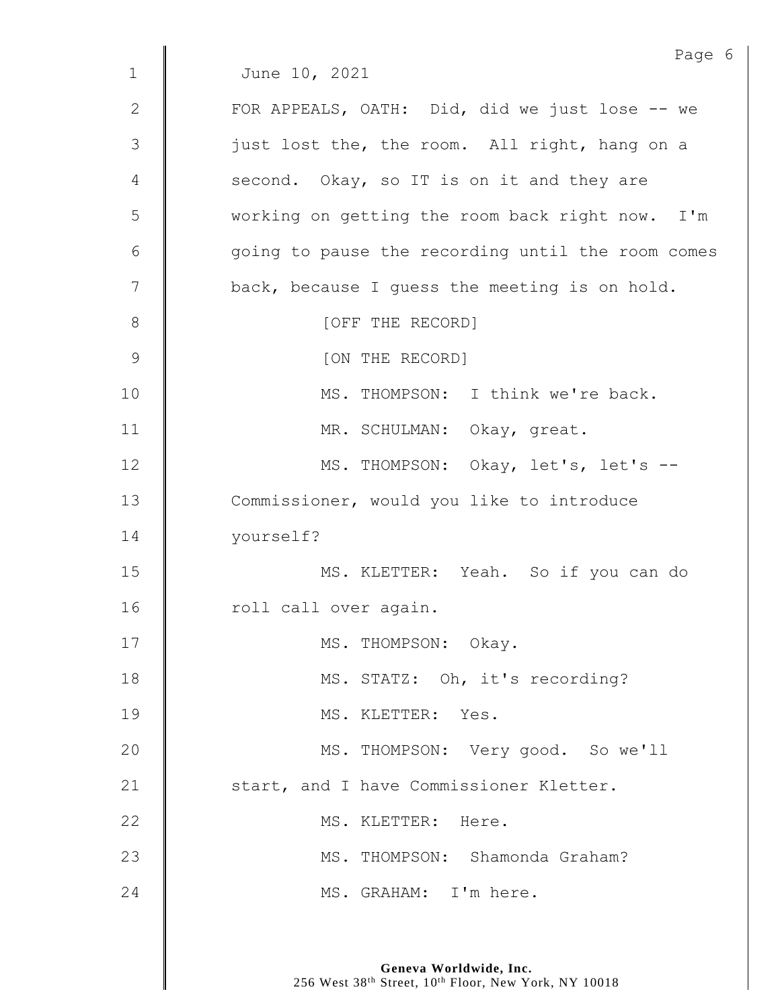|                | Page 6                                            |
|----------------|---------------------------------------------------|
| $\mathbf{1}$   | June 10, 2021                                     |
| $\mathbf{2}$   | FOR APPEALS, OATH: Did, did we just lose -- we    |
| $\mathfrak{Z}$ | just lost the, the room. All right, hang on a     |
| 4              | second. Okay, so IT is on it and they are         |
| 5              | working on getting the room back right now. I'm   |
| 6              | going to pause the recording until the room comes |
| 7              | back, because I guess the meeting is on hold.     |
| $8\,$          | [OFF THE RECORD]                                  |
| $\mathsf 9$    | [ON THE RECORD]                                   |
| 10             | MS. THOMPSON: I think we're back.                 |
| 11             | MR. SCHULMAN: Okay, great.                        |
| 12             | MS. THOMPSON: Okay, let's, let's --               |
| 13             | Commissioner, would you like to introduce         |
| 14             | yourself?                                         |
| 15             | MS. KLETTER: Yeah. So if you can do               |
| 16             | roll call over again.                             |
| 17             | MS. THOMPSON: Okay.                               |
| 18             | MS. STATZ: Oh, it's recording?                    |
| 19             | MS. KLETTER: Yes.                                 |
| 20             | MS. THOMPSON: Very good. So we'll                 |
| 21             | start, and I have Commissioner Kletter.           |
| 22             | MS. KLETTER: Here.                                |
| 23             | MS. THOMPSON: Shamonda Graham?                    |
| 24             | MS. GRAHAM: I'm here.                             |
|                |                                                   |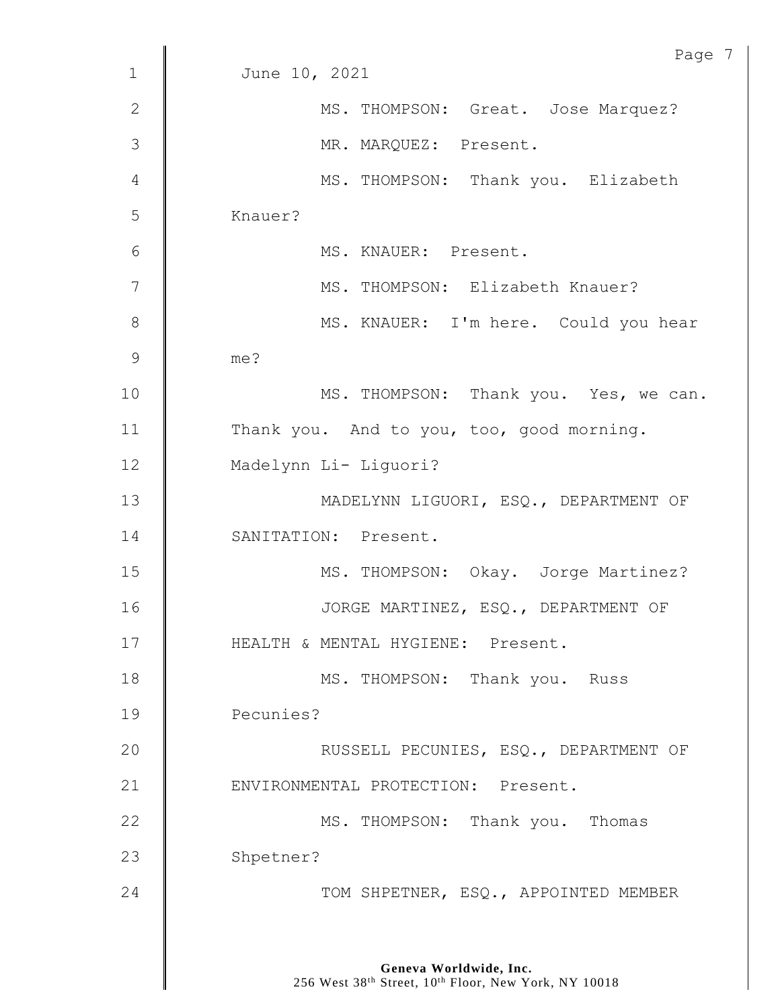| Page 7                                    |
|-------------------------------------------|
| June 10, 2021                             |
| MS. THOMPSON: Great. Jose Marquez?        |
| MR. MARQUEZ: Present.                     |
| MS. THOMPSON: Thank you. Elizabeth        |
| Knauer?                                   |
| MS. KNAUER: Present.                      |
| MS. THOMPSON: Elizabeth Knauer?           |
| MS. KNAUER: I'm here. Could you hear      |
| me?                                       |
| MS. THOMPSON: Thank you. Yes, we can.     |
| Thank you. And to you, too, good morning. |
| Madelynn Li- Liguori?                     |
| MADELYNN LIGUORI, ESQ., DEPARTMENT OF     |
| SANITATION: Present.                      |
| MS. THOMPSON: Okay. Jorge Martinez?       |
| JORGE MARTINEZ, ESQ., DEPARTMENT OF       |
| HEALTH & MENTAL HYGIENE: Present.         |
| MS. THOMPSON: Thank you. Russ             |
| Pecunies?                                 |
| RUSSELL PECUNIES, ESQ., DEPARTMENT OF     |
| ENVIRONMENTAL PROTECTION: Present.        |
| MS. THOMPSON: Thank you. Thomas           |
| Shpetner?                                 |
| TOM SHPETNER, ESQ., APPOINTED MEMBER      |
|                                           |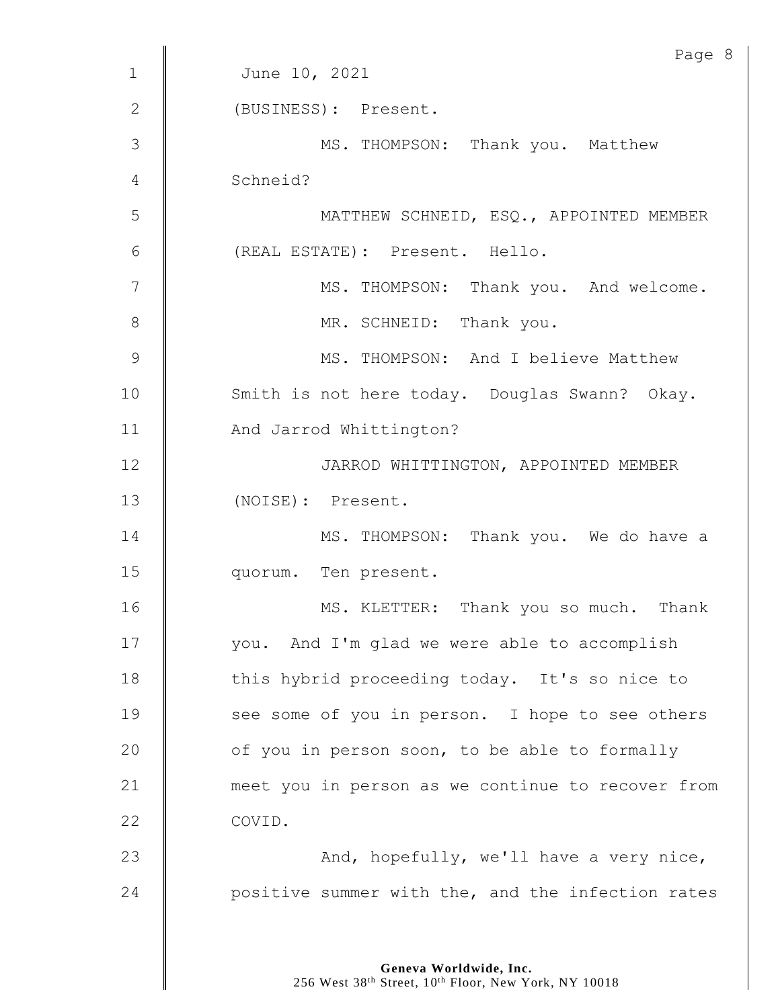|              | Page 8                                            |
|--------------|---------------------------------------------------|
| $\mathbf{1}$ | June 10, 2021                                     |
| 2            | (BUSINESS): Present.                              |
| 3            | MS. THOMPSON: Thank you. Matthew                  |
| 4            | Schneid?                                          |
| 5            | MATTHEW SCHNEID, ESQ., APPOINTED MEMBER           |
| 6            | (REAL ESTATE): Present. Hello.                    |
| 7            | MS. THOMPSON: Thank you. And welcome.             |
| 8            | MR. SCHNEID: Thank you.                           |
| 9            | MS. THOMPSON: And I believe Matthew               |
| 10           | Smith is not here today. Douglas Swann? Okay.     |
| 11           | And Jarrod Whittington?                           |
| 12           | JARROD WHITTINGTON, APPOINTED MEMBER              |
| 13           | (NOISE): Present.                                 |
| 14           | MS. THOMPSON: Thank you. We do have a             |
| 15           | quorum. Ten present.                              |
| 16           | MS. KLETTER: Thank you so much. Thank             |
| 17           | you. And I'm glad we were able to accomplish      |
| 18           | this hybrid proceeding today. It's so nice to     |
| 19           | see some of you in person. I hope to see others   |
| 20           | of you in person soon, to be able to formally     |
| 21           | meet you in person as we continue to recover from |
| 22           | COVID.                                            |
| 23           | And, hopefully, we'll have a very nice,           |
| 24           | positive summer with the, and the infection rates |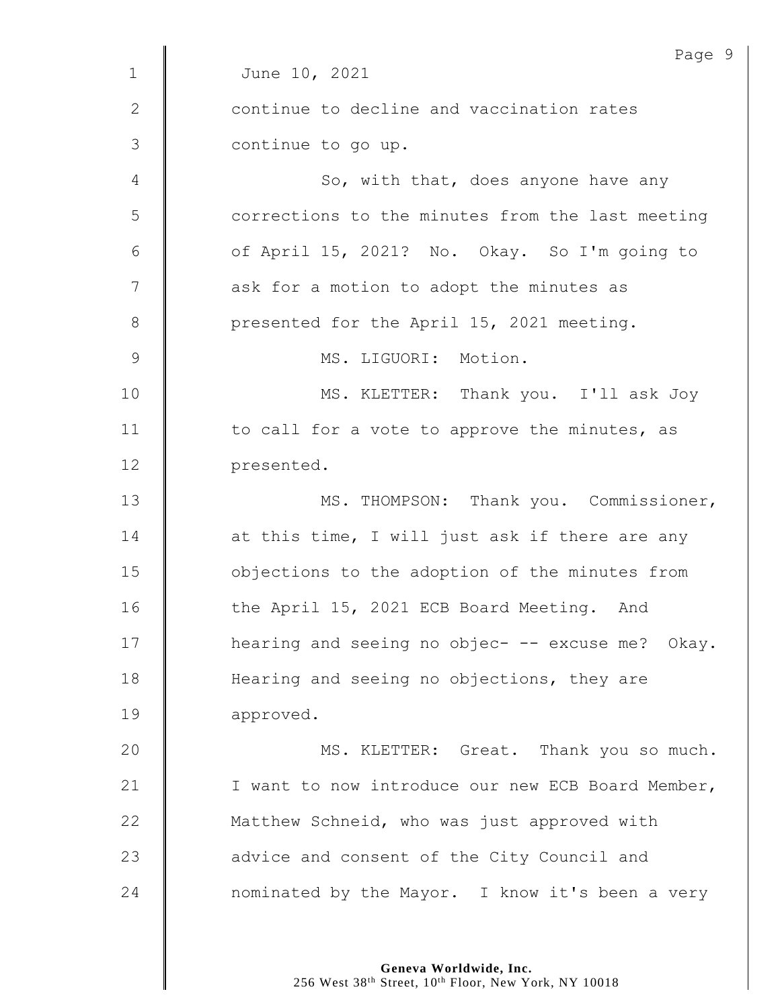| Page 9                                            |
|---------------------------------------------------|
| June 10, 2021                                     |
| continue to decline and vaccination rates         |
| continue to go up.                                |
| So, with that, does anyone have any               |
| corrections to the minutes from the last meeting  |
| of April 15, 2021? No. Okay. So I'm going to      |
| ask for a motion to adopt the minutes as          |
| presented for the April 15, 2021 meeting.         |
| MS. LIGUORI: Motion.                              |
| MS. KLETTER: Thank you. I'll ask Joy              |
| to call for a vote to approve the minutes, as     |
| presented.                                        |
| MS. THOMPSON: Thank you. Commissioner,            |
| at this time, I will just ask if there are any    |
| objections to the adoption of the minutes from    |
| the April 15, 2021 ECB Board Meeting. And         |
| hearing and seeing no objec- -- excuse me? Okay.  |
| Hearing and seeing no objections, they are        |
| approved.                                         |
| MS. KLETTER: Great. Thank you so much.            |
| I want to now introduce our new ECB Board Member, |
| Matthew Schneid, who was just approved with       |
| advice and consent of the City Council and        |
| nominated by the Mayor. I know it's been a very   |
|                                                   |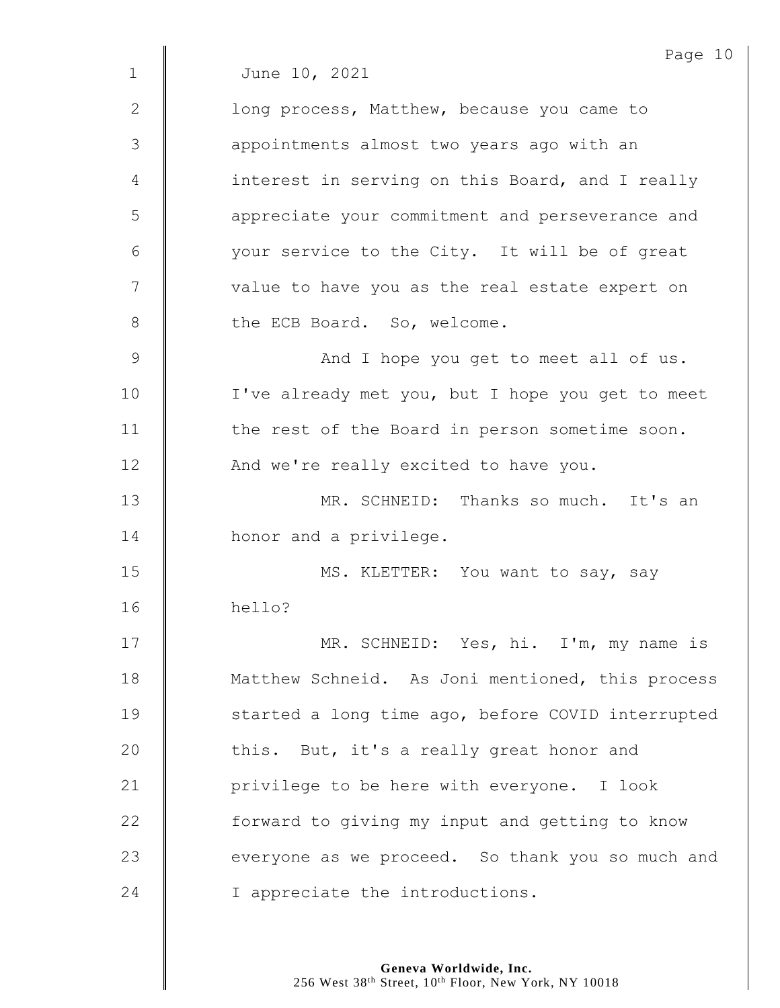|              | Page 10                                           |
|--------------|---------------------------------------------------|
| $\mathbf 1$  | June 10, 2021                                     |
| $\mathbf{2}$ | long process, Matthew, because you came to        |
| 3            | appointments almost two years ago with an         |
| 4            | interest in serving on this Board, and I really   |
| 5            | appreciate your commitment and perseverance and   |
| 6            | your service to the City. It will be of great     |
| 7            | value to have you as the real estate expert on    |
| 8            | the ECB Board. So, welcome.                       |
| 9            | And I hope you get to meet all of us.             |
| 10           | I've already met you, but I hope you get to meet  |
| 11           | the rest of the Board in person sometime soon.    |
| 12           | And we're really excited to have you.             |
| 13           | MR. SCHNEID: Thanks so much. It's an              |
| 14           | honor and a privilege.                            |
| 15           | MS. KLETTER: You want to say, say                 |
| 16           | hello?                                            |
| 17           | MR. SCHNEID: Yes, hi. I'm, my name is             |
| 18           | Matthew Schneid. As Joni mentioned, this process  |
| 19           | started a long time ago, before COVID interrupted |
| 20           | this. But, it's a really great honor and          |
| 21           | privilege to be here with everyone. I look        |
| 22           | forward to giving my input and getting to know    |
| 23           | everyone as we proceed. So thank you so much and  |
| 24           | I appreciate the introductions.                   |
|              |                                                   |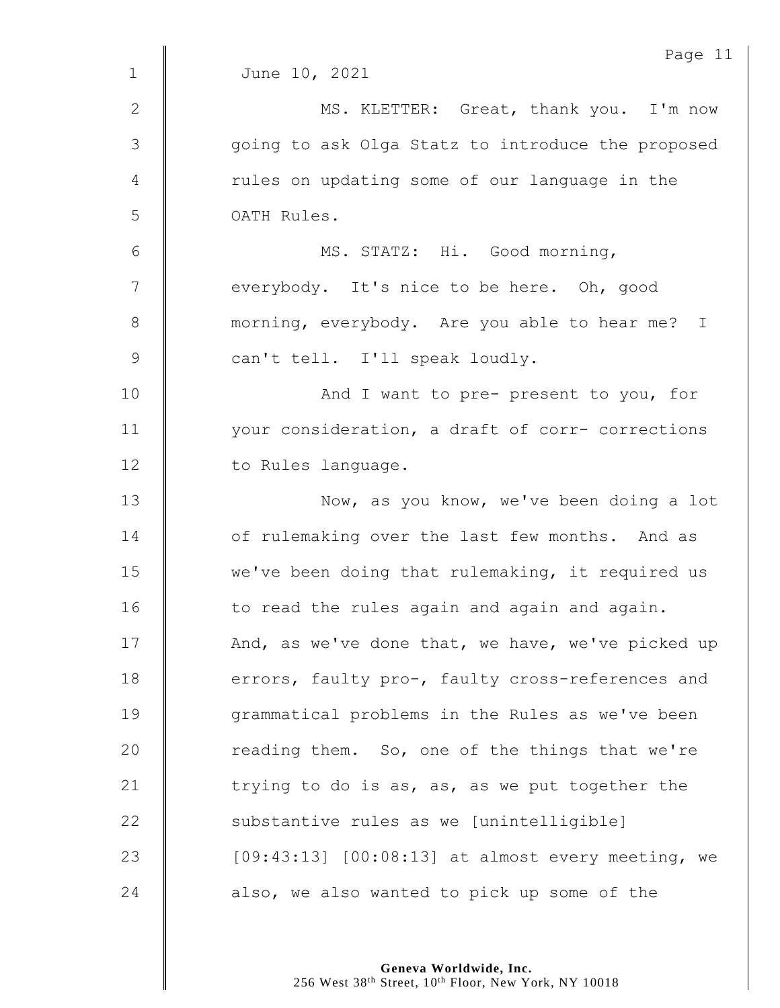|               | Page 11                                           |
|---------------|---------------------------------------------------|
| $\mathbf{1}$  | June 10, 2021                                     |
| $\mathbf{2}$  | MS. KLETTER: Great, thank you. I'm now            |
| 3             | going to ask Olga Statz to introduce the proposed |
| 4             | rules on updating some of our language in the     |
| 5             | OATH Rules.                                       |
| 6             | MS. STATZ: Hi. Good morning,                      |
| 7             | everybody. It's nice to be here. Oh, good         |
| $\,8\,$       | morning, everybody. Are you able to hear me? I    |
| $\mathcal{G}$ | can't tell. I'll speak loudly.                    |
| 10            | And I want to pre- present to you, for            |
| 11            | your consideration, a draft of corr- corrections  |
| 12            | to Rules language.                                |
| 13            | Now, as you know, we've been doing a lot          |
| 14            | of rulemaking over the last few months. And as    |
| 15            | we've been doing that rulemaking, it required us  |
| 16            | to read the rules again and again and again.      |
| 17            | And, as we've done that, we have, we've picked up |
| 18            | errors, faulty pro-, faulty cross-references and  |
| 19            | grammatical problems in the Rules as we've been   |
| 20            | reading them. So, one of the things that we're    |
| 21            | trying to do is as, as, as we put together the    |
| 22            | substantive rules as we [unintelligible]          |
| 23            | [09:43:13] [00:08:13] at almost every meeting, we |
| 24            | also, we also wanted to pick up some of the       |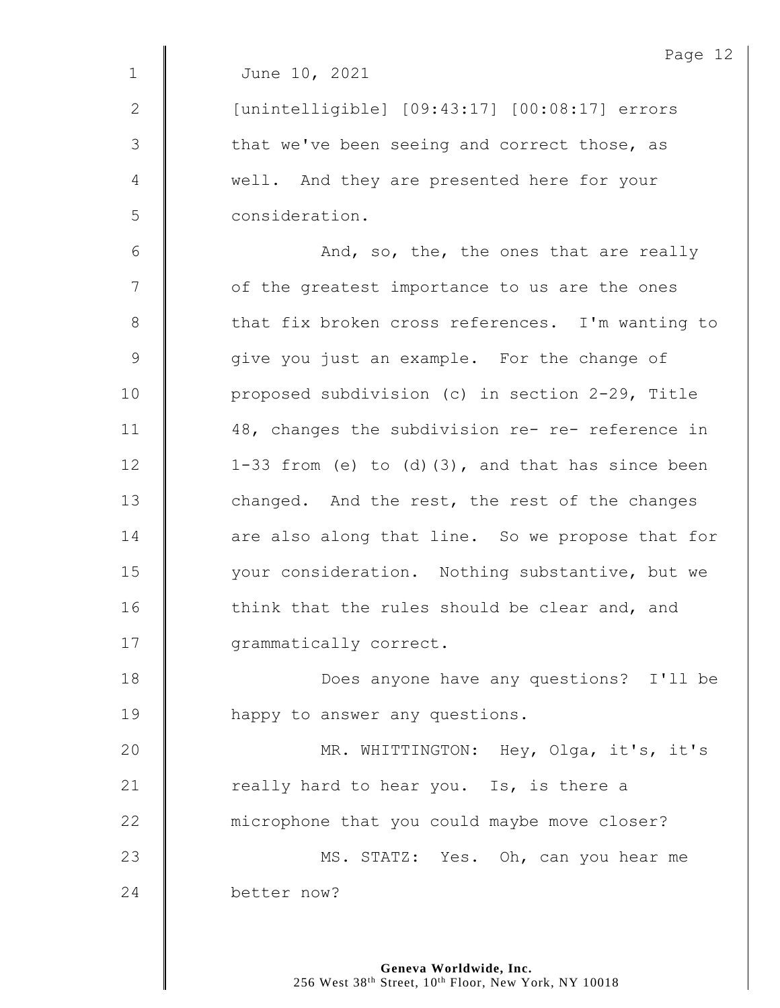|                 | Page 12                                             |
|-----------------|-----------------------------------------------------|
| $\mathbf 1$     | June 10, 2021                                       |
| 2               | [unintelligible] [09:43:17] [00:08:17] errors       |
| 3               | that we've been seeing and correct those, as        |
| 4               | well. And they are presented here for your          |
| 5               | consideration.                                      |
| $6\phantom{1}6$ | And, so, the, the ones that are really              |
| 7               | of the greatest importance to us are the ones       |
| 8               | that fix broken cross references. I'm wanting to    |
| 9               | give you just an example. For the change of         |
| 10              | proposed subdivision (c) in section 2-29, Title     |
| 11              | 48, changes the subdivision re- re- reference in    |
| 12              | 1-33 from (e) to $(d)$ (3), and that has since been |
| 13              | changed. And the rest, the rest of the changes      |
| 14              | are also along that line. So we propose that for    |
| 15              | your consideration. Nothing substantive, but we     |
| 16              | think that the rules should be clear and, and       |
| 17              | grammatically correct.                              |
| 18              | Does anyone have any questions? I'll be             |
| 19              | happy to answer any questions.                      |
| 20              | MR. WHITTINGTON: Hey, Olga, it's, it's              |
| 21              | really hard to hear you. Is, is there a             |
| 22              | microphone that you could maybe move closer?        |
| 23              | MS. STATZ: Yes. Oh, can you hear me                 |
| 24              | better now?                                         |
|                 |                                                     |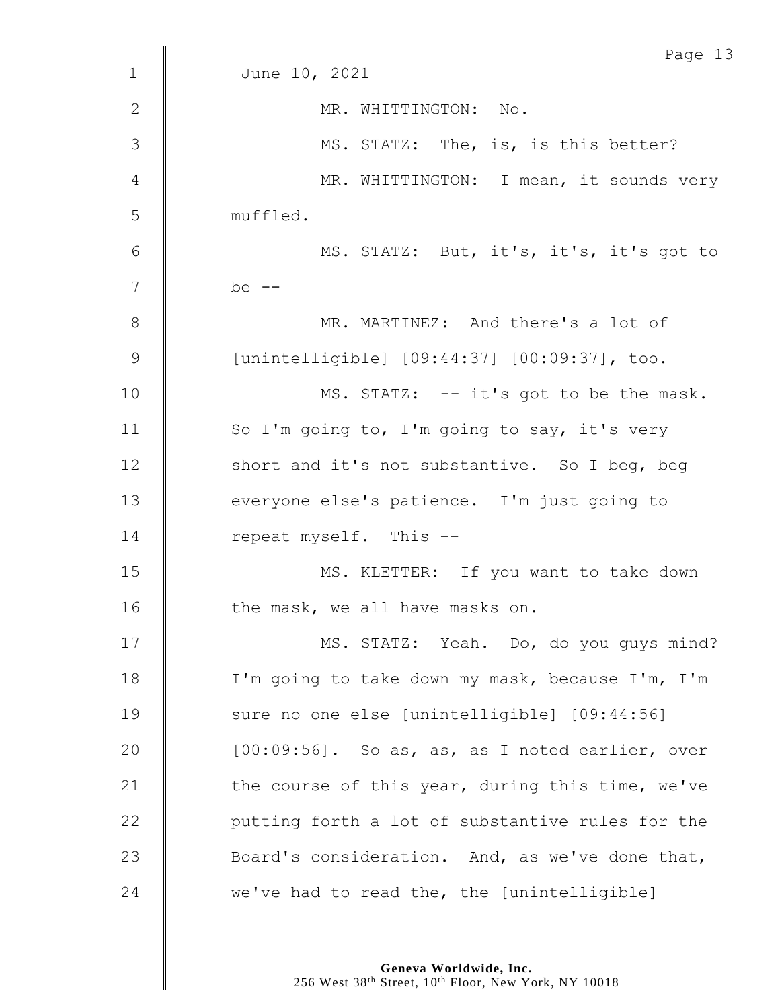|               | Page 13                                          |
|---------------|--------------------------------------------------|
| $\mathbf 1$   | June 10, 2021                                    |
| $\mathbf{2}$  | MR. WHITTINGTON: No.                             |
| 3             | MS. STATZ: The, is, is this better?              |
| 4             | MR. WHITTINGTON: I mean, it sounds very          |
| 5             | muffled.                                         |
| 6             | MS. STATZ: But, it's, it's, it's got to          |
| 7             | be $--$                                          |
| $8\,$         | MR. MARTINEZ: And there's a lot of               |
| $\mathcal{G}$ | [unintelligible] [09:44:37] [00:09:37], too.     |
| 10            | MS. STATZ: -- it's got to be the mask.           |
| 11            | So I'm going to, I'm going to say, it's very     |
| 12            | short and it's not substantive. So I beg, beg    |
| 13            | everyone else's patience. I'm just going to      |
| 14            | repeat myself. This --                           |
| 15            | MS. KLETTER: If you want to take down            |
| 16            | the mask, we all have masks on.                  |
| 17            | MS. STATZ: Yeah. Do, do you guys mind?           |
| 18            | I'm going to take down my mask, because I'm, I'm |
| 19            | sure no one else [unintelligible] [09:44:56]     |
| 20            | [00:09:56]. So as, as, as I noted earlier, over  |
| 21            | the course of this year, during this time, we've |
| 22            | putting forth a lot of substantive rules for the |
| 23            | Board's consideration. And, as we've done that,  |
| 24            | we've had to read the, the [unintelligible]      |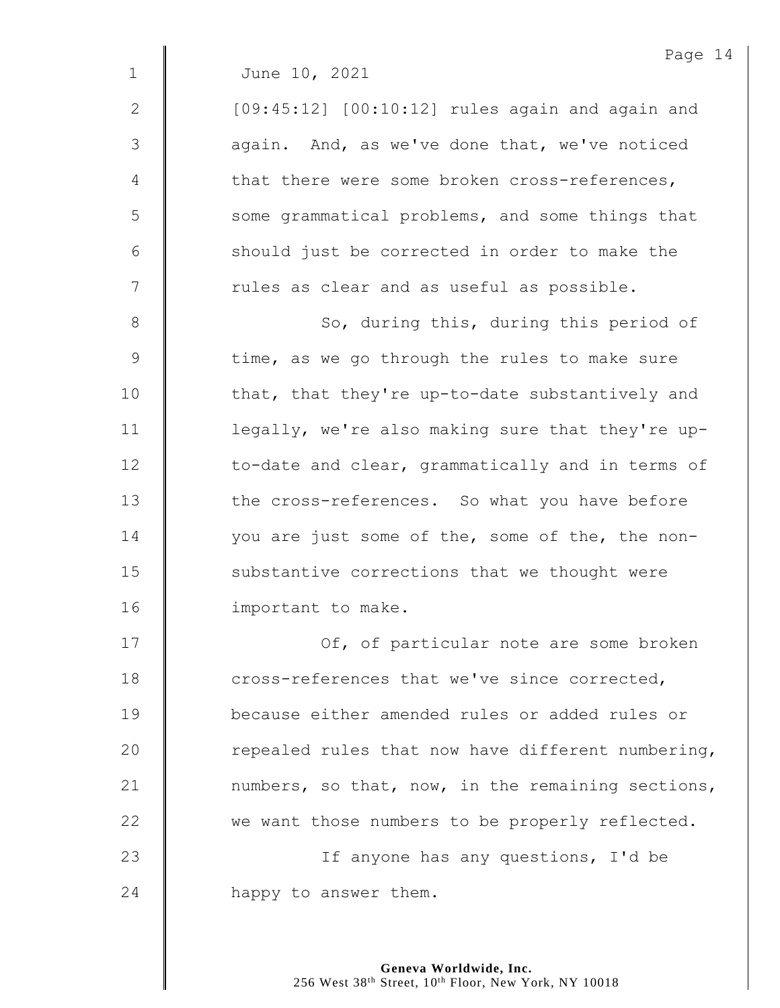| $\overline{2}$ | [09:45:12] [00:10:12] rules again and again and |
|----------------|-------------------------------------------------|
| 3              | again. And, as we've done that, we've noticed   |
| 4              | that there were some broken cross-references,   |
| 5              | some grammatical problems, and some things that |
| 6              | should just be corrected in order to make the   |
| 7              | rules as clear and as useful as possible.       |

8 || So, during this, during this period of  $9 \parallel$  time, as we go through the rules to make sure 10 that, that they're up-to-date substantively and 11 | legally, we're also making sure that they're up-12 | to-date and clear, grammatically and in terms of 13 **the cross-references.** So what you have before 14 vou are just some of the, some of the, the non-15 | substantive corrections that we thought were 16 | important to make.

17 | Of, of particular note are some broken **Cross-references that we've since corrected, because either amended rules or added rules or**  $\parallel$  repealed rules that now have different numbering,  $\parallel$  numbers, so that, now, in the remaining sections, 22 we want those numbers to be properly reflected. 23 | If anyone has any questions, I'd be **happy** to answer them.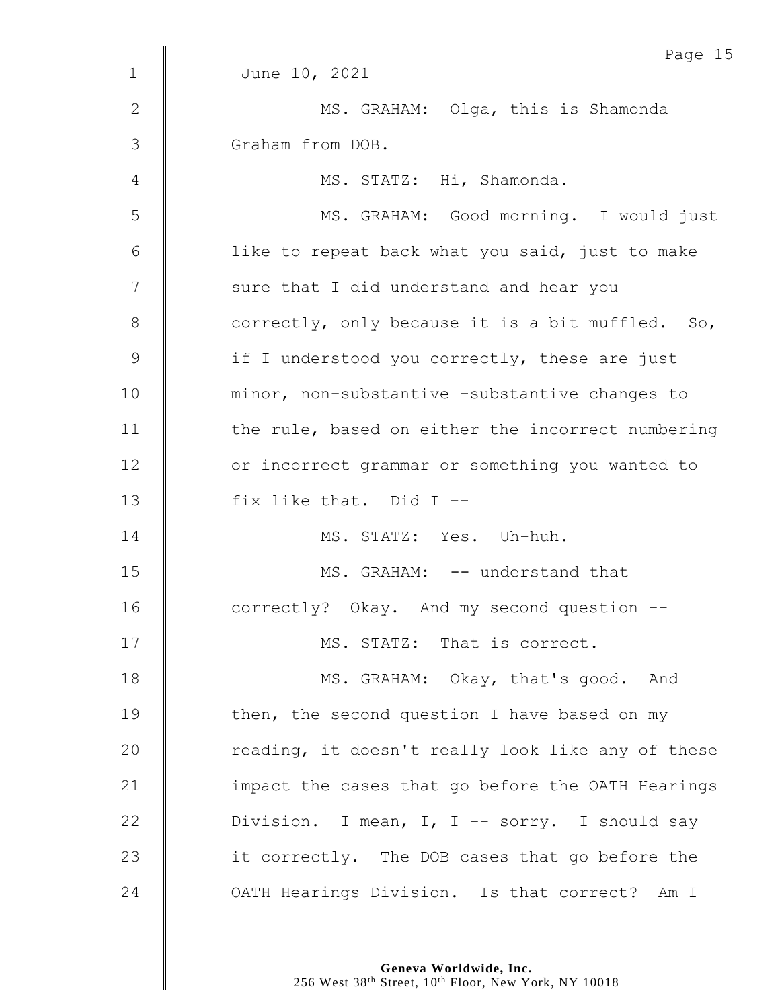|                | Page 15                                           |
|----------------|---------------------------------------------------|
| $\mathbf{1}$   | June 10, 2021                                     |
| $\mathbf{2}$   | MS. GRAHAM: Olga, this is Shamonda                |
| $\mathfrak{Z}$ | Graham from DOB.                                  |
| 4              | MS. STATZ: Hi, Shamonda.                          |
| 5              | MS. GRAHAM: Good morning. I would just            |
| 6              | like to repeat back what you said, just to make   |
| 7              | sure that I did understand and hear you           |
| $8\,$          | correctly, only because it is a bit muffled. So,  |
| $\mathsf 9$    | if I understood you correctly, these are just     |
| 10             | minor, non-substantive -substantive changes to    |
| 11             | the rule, based on either the incorrect numbering |
| 12             | or incorrect grammar or something you wanted to   |
| 13             | fix like that. Did I --                           |
| 14             | MS. STATZ: Yes. Uh-huh.                           |
| 15             | MS. GRAHAM: -- understand that                    |
| 16             | correctly? Okay. And my second question --        |
| 17             | MS. STATZ: That is correct.                       |
| 18             | MS. GRAHAM: Okay, that's good. And                |
| 19             | then, the second question I have based on my      |
| 20             | reading, it doesn't really look like any of these |
| 21             | impact the cases that go before the OATH Hearings |
| 22             | Division. I mean, I, I -- sorry. I should say     |
| 23             | it correctly. The DOB cases that go before the    |
| 24             | OATH Hearings Division. Is that correct? Am I     |

**Geneva Worldwide, Inc.**

256 West 38<sup>th</sup> Street, 10<sup>th</sup> Floor, New York, NY 10018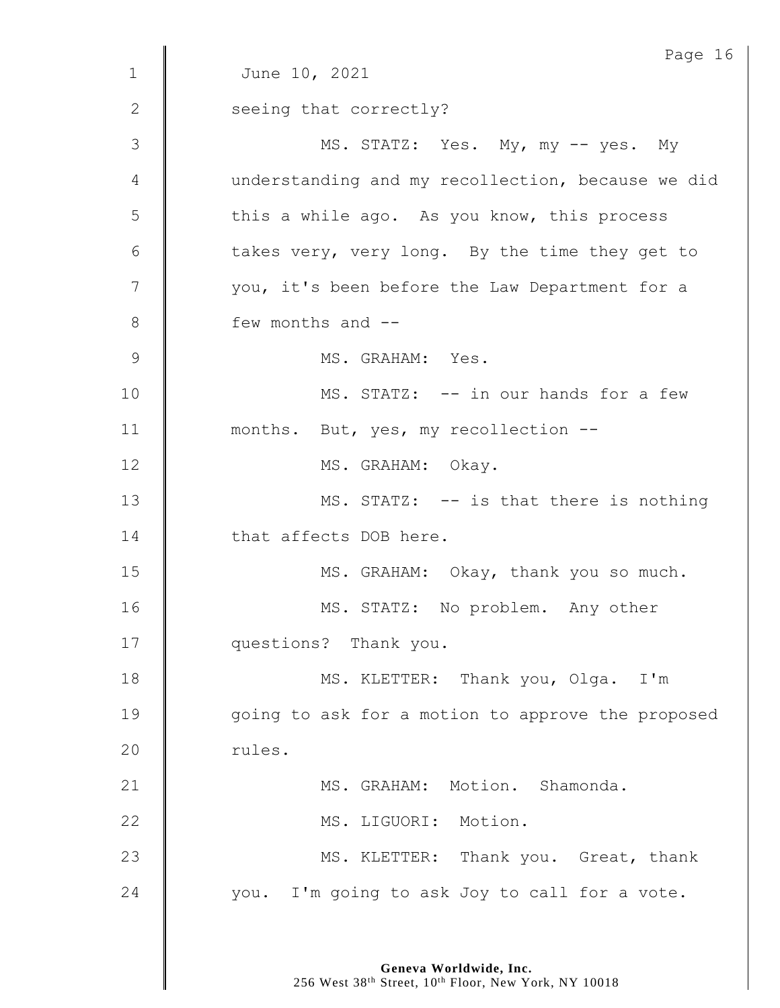|               | Page 16                                           |
|---------------|---------------------------------------------------|
| $\mathbf 1$   | June 10, 2021                                     |
| 2             | seeing that correctly?                            |
| $\mathcal{S}$ | MS. STATZ: Yes. My, my -- yes. My                 |
| 4             | understanding and my recollection, because we did |
| 5             | this a while ago. As you know, this process       |
| 6             | takes very, very long. By the time they get to    |
| 7             | you, it's been before the Law Department for a    |
| 8             | few months and --                                 |
| $\mathsf 9$   | MS. GRAHAM: Yes.                                  |
| 10            | MS. STATZ: -- in our hands for a few              |
| 11            | months. But, yes, my recollection --              |
| 12            | MS. GRAHAM: Okay.                                 |
| 13            | MS. STATZ: -- is that there is nothing            |
| 14            | that affects DOB here.                            |
| 15            | MS. GRAHAM: Okay, thank you so much.              |
| 16            | MS. STATZ: No problem. Any other                  |
| 17            | questions? Thank you.                             |
| 18            | MS. KLETTER: Thank you, Olga. I'm                 |
| 19            | going to ask for a motion to approve the proposed |
| 20            | rules.                                            |
| 21            | MS. GRAHAM: Motion. Shamonda.                     |
| 22            | MS. LIGUORI: Motion.                              |
| 23            | MS. KLETTER: Thank you. Great, thank              |
| 24            | you. I'm going to ask Joy to call for a vote.     |
|               |                                                   |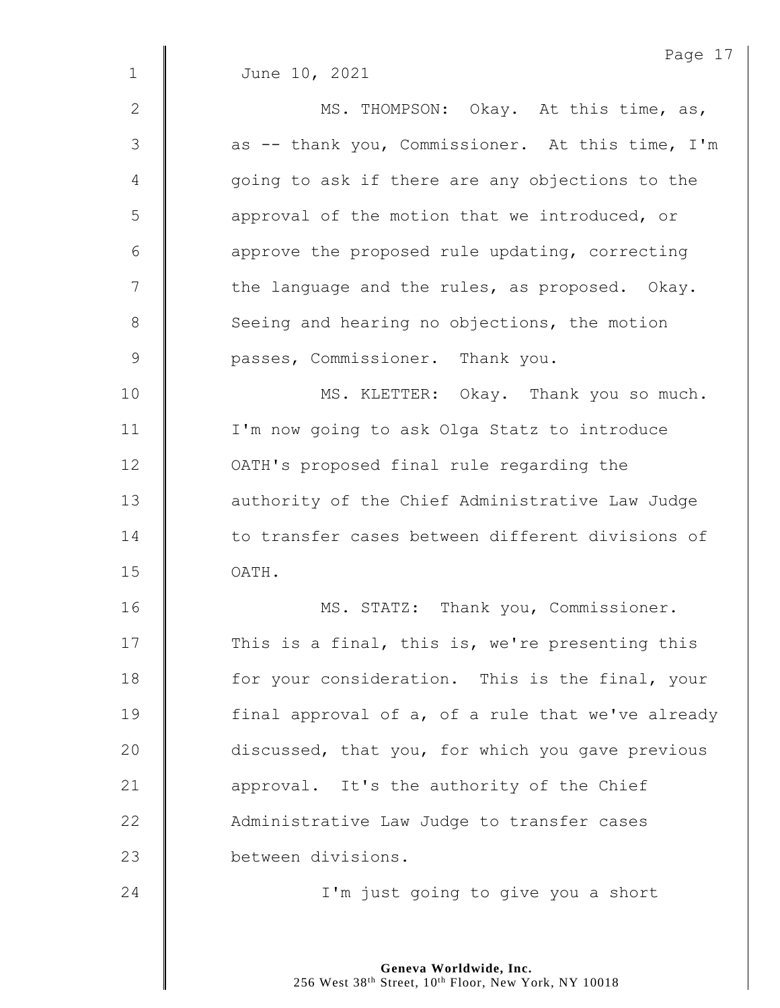|             | Page 17                                           |
|-------------|---------------------------------------------------|
| $\mathbf 1$ | June 10, 2021                                     |
| 2           | MS. THOMPSON: Okay. At this time, as,             |
| 3           | as -- thank you, Commissioner. At this time, I'm  |
| 4           | going to ask if there are any objections to the   |
| 5           | approval of the motion that we introduced, or     |
| 6           | approve the proposed rule updating, correcting    |
| 7           | the language and the rules, as proposed. Okay.    |
| 8           | Seeing and hearing no objections, the motion      |
| 9           | passes, Commissioner. Thank you.                  |
| 10          | MS. KLETTER: Okay. Thank you so much.             |
| 11          | I'm now going to ask Olga Statz to introduce      |
| 12          | OATH's proposed final rule regarding the          |
| 13          | authority of the Chief Administrative Law Judge   |
| 14          | to transfer cases between different divisions of  |
| 15          | OATH.                                             |
| 16          | MS. STATZ: Thank you, Commissioner.               |
| 17          | This is a final, this is, we're presenting this   |
| 18          | for your consideration. This is the final, your   |
| 19          | final approval of a, of a rule that we've already |
| 20          | discussed, that you, for which you gave previous  |
| 21          | approval. It's the authority of the Chief         |
| 22          | Administrative Law Judge to transfer cases        |
| 23          | between divisions.                                |
| 24          | I'm just going to give you a short                |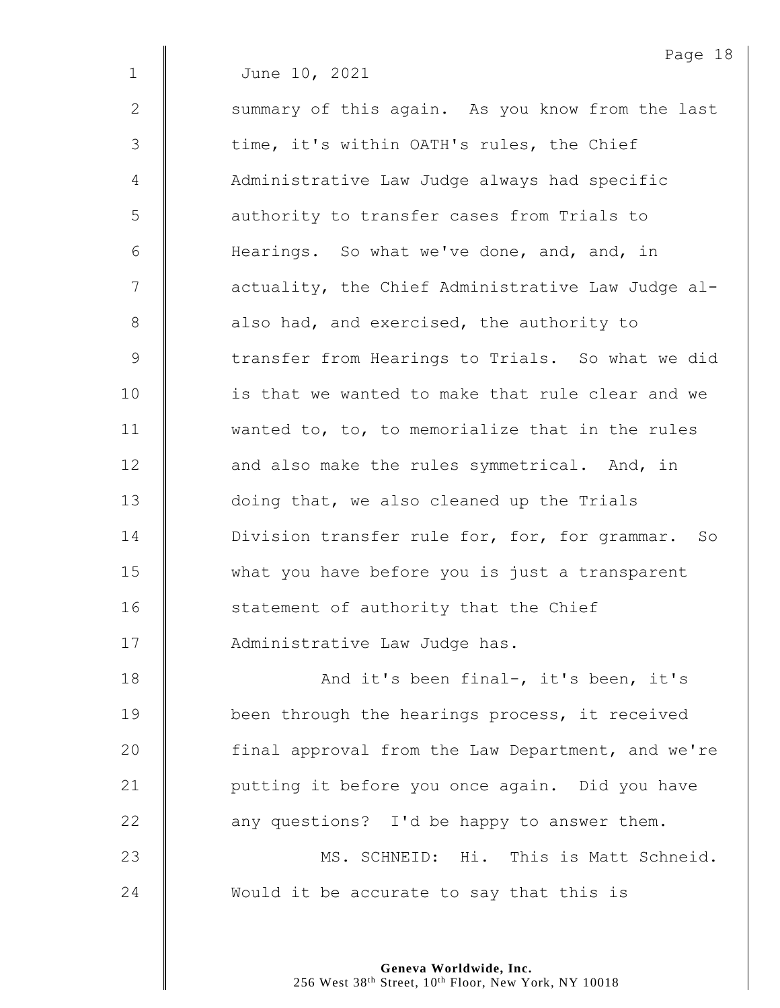|             | Page 18                                           |
|-------------|---------------------------------------------------|
| $\mathbf 1$ | June 10, 2021                                     |
| 2           | summary of this again. As you know from the last  |
| 3           | time, it's within OATH's rules, the Chief         |
| 4           | Administrative Law Judge always had specific      |
| 5           | authority to transfer cases from Trials to        |
| 6           | Hearings. So what we've done, and, and, in        |
| 7           | actuality, the Chief Administrative Law Judge al- |
| 8           | also had, and exercised, the authority to         |
| 9           | transfer from Hearings to Trials. So what we did  |
| 10          | is that we wanted to make that rule clear and we  |
| 11          | wanted to, to, to memorialize that in the rules   |
| 12          | and also make the rules symmetrical. And, in      |
| 13          | doing that, we also cleaned up the Trials         |
| 14          | Division transfer rule for, for, for grammar. So  |
| 15          | what you have before you is just a transparent    |
| 16          | statement of authority that the Chief             |
| 17          | Administrative Law Judge has.                     |
| 18          | And it's been final-, it's been, it's             |
| 19          | been through the hearings process, it received    |
| 20          | final approval from the Law Department, and we're |
| 21          | putting it before you once again. Did you have    |
| 22          | any questions? I'd be happy to answer them.       |
| 23          | MS. SCHNEID: Hi. This is Matt Schneid.            |
| 24          | Would it be accurate to say that this is          |
|             |                                                   |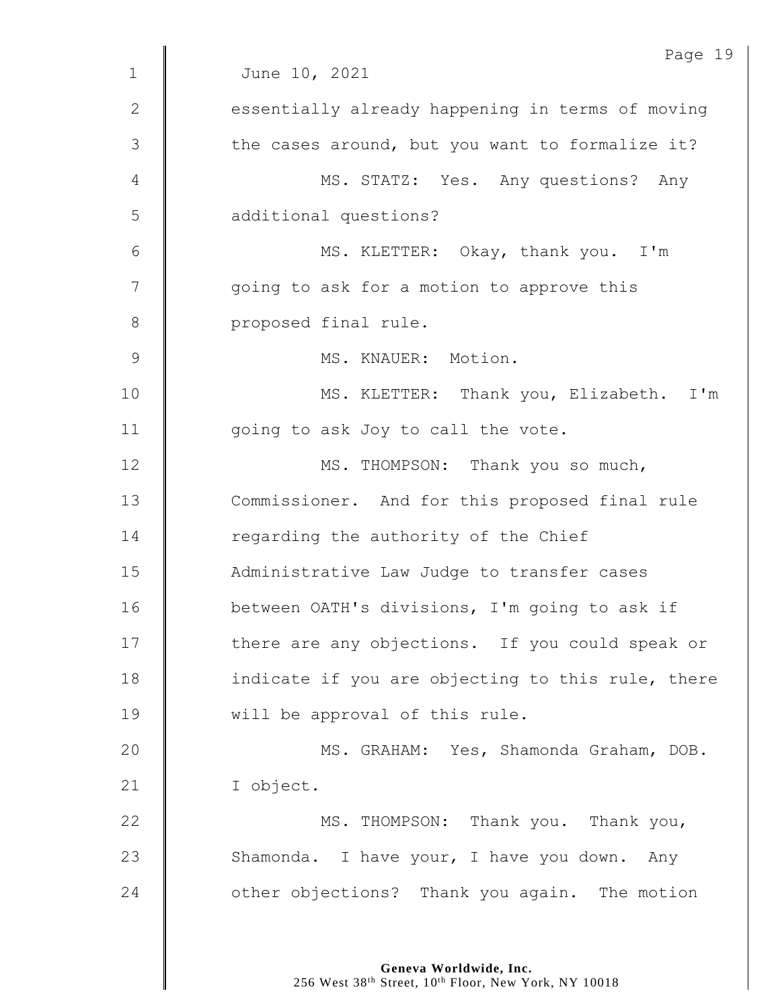|             | Page 19                                           |
|-------------|---------------------------------------------------|
| $\mathbf 1$ | June 10, 2021                                     |
| 2           | essentially already happening in terms of moving  |
| 3           | the cases around, but you want to formalize it?   |
| 4           | MS. STATZ: Yes. Any questions? Any                |
| 5           | additional questions?                             |
| 6           | MS. KLETTER: Okay, thank you. I'm                 |
| 7           | going to ask for a motion to approve this         |
| $8\,$       | proposed final rule.                              |
| $\mathsf 9$ | MS. KNAUER: Motion.                               |
| 10          | MS. KLETTER: Thank you, Elizabeth. I'm            |
| 11          | going to ask Joy to call the vote.                |
| 12          | MS. THOMPSON: Thank you so much,                  |
| 13          | Commissioner. And for this proposed final rule    |
| 14          | regarding the authority of the Chief              |
| 15          | Administrative Law Judge to transfer cases        |
| 16          | between OATH's divisions, I'm going to ask if     |
| 17          | there are any objections. If you could speak or   |
| 18          | indicate if you are objecting to this rule, there |
| 19          | will be approval of this rule.                    |
| 20          | MS. GRAHAM: Yes, Shamonda Graham, DOB.            |
| 21          | I object.                                         |
| 22          | MS. THOMPSON: Thank you. Thank you,               |
| 23          | Shamonda. I have your, I have you down. Any       |
| 24          | other objections? Thank you again. The motion     |
|             |                                                   |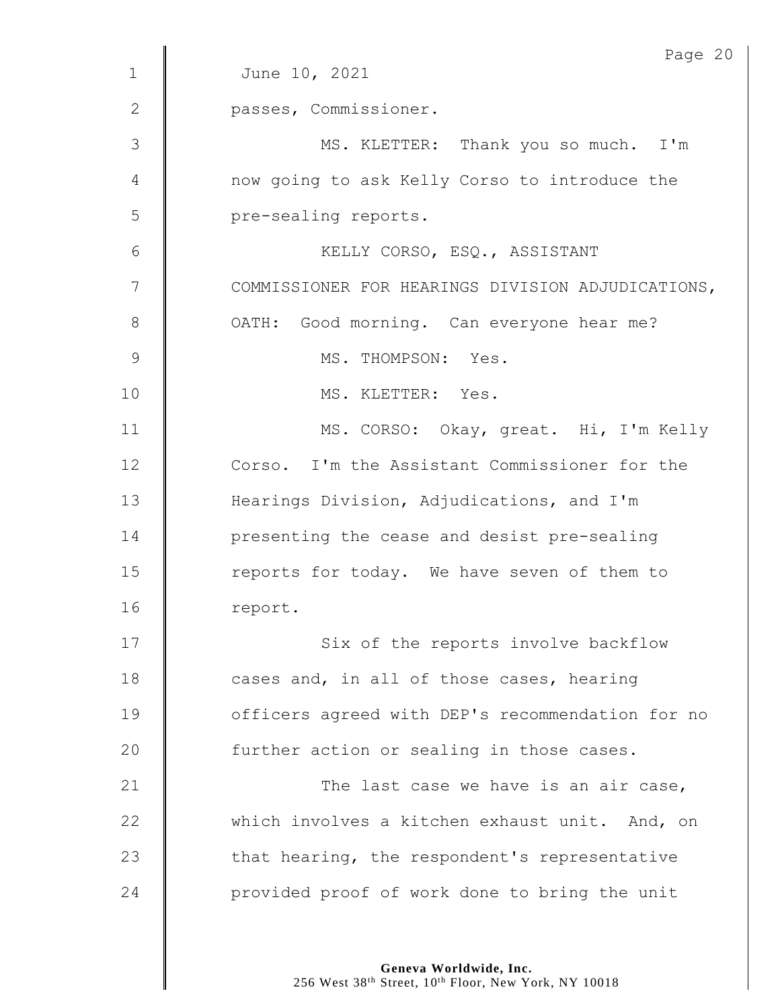|               | Page 20                                           |
|---------------|---------------------------------------------------|
| 1             | June 10, 2021                                     |
| 2             | passes, Commissioner.                             |
| 3             | MS. KLETTER: Thank you so much. I'm               |
| 4             | now going to ask Kelly Corso to introduce the     |
| 5             | pre-sealing reports.                              |
| 6             | KELLY CORSO, ESQ., ASSISTANT                      |
| 7             | COMMISSIONER FOR HEARINGS DIVISION ADJUDICATIONS, |
| 8             | OATH: Good morning. Can everyone hear me?         |
| $\mathcal{G}$ | MS. THOMPSON: Yes.                                |
| 10            | MS. KLETTER: Yes.                                 |
| 11            | MS. CORSO: Okay, great. Hi, I'm Kelly             |
| 12            | Corso. I'm the Assistant Commissioner for the     |
| 13            | Hearings Division, Adjudications, and I'm         |
| 14            | presenting the cease and desist pre-sealing       |
| 15            | reports for today. We have seven of them to       |
| 16            | report.                                           |
| 17            | Six of the reports involve backflow               |
| 18            | cases and, in all of those cases, hearing         |
| 19            | officers agreed with DEP's recommendation for no  |
| 20            | further action or sealing in those cases.         |
| 21            | The last case we have is an air case,             |
| 22            | which involves a kitchen exhaust unit. And, on    |
| 23            | that hearing, the respondent's representative     |
| 24            | provided proof of work done to bring the unit     |

**Geneva Worldwide, Inc.**

256 West 38<sup>th</sup> Street, 10<sup>th</sup> Floor, New York, NY 10018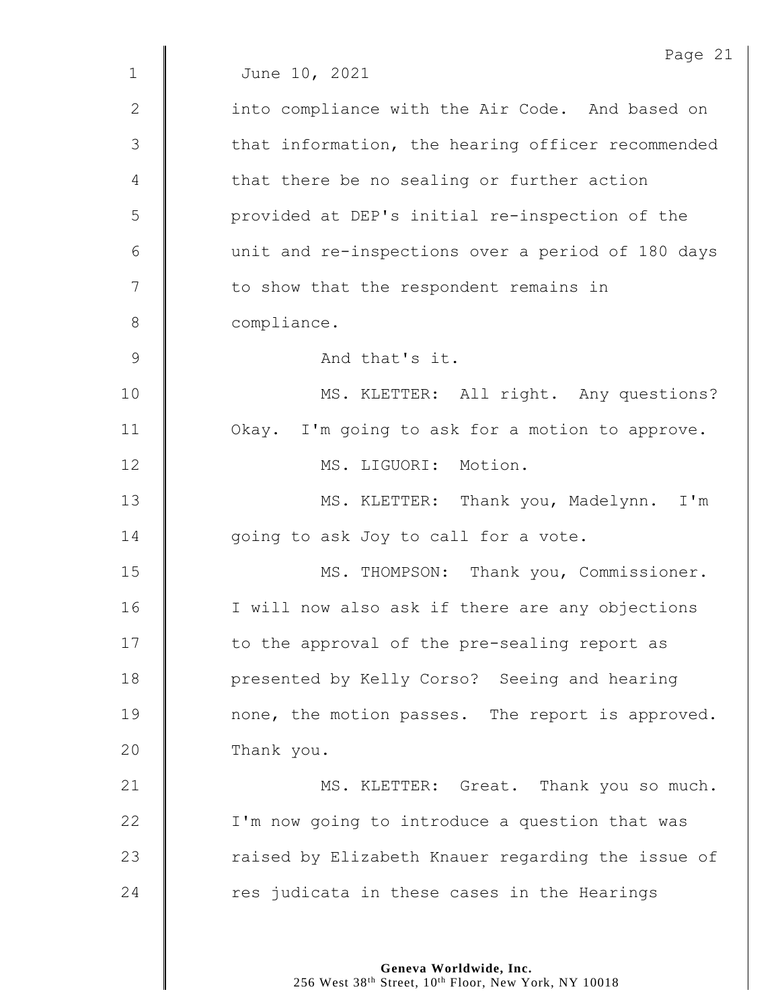|                | Page 21                                           |
|----------------|---------------------------------------------------|
| $\mathbf{1}$   | June 10, 2021                                     |
| $\mathbf{2}$   | into compliance with the Air Code. And based on   |
| 3              | that information, the hearing officer recommended |
| 4              | that there be no sealing or further action        |
| 5              | provided at DEP's initial re-inspection of the    |
| 6              | unit and re-inspections over a period of 180 days |
| 7              | to show that the respondent remains in            |
| $8\,$          | compliance.                                       |
| $\overline{9}$ | And that's it.                                    |
| 10             | MS. KLETTER: All right. Any questions?            |
| 11             | Okay. I'm going to ask for a motion to approve.   |
| 12             | MS. LIGUORI: Motion.                              |
| 13             | MS. KLETTER: Thank you, Madelynn.<br>I'm          |
| 14             | going to ask Joy to call for a vote.              |
| 15             | MS. THOMPSON: Thank you, Commissioner.            |
| 16             | I will now also ask if there are any objections   |
| 17             | to the approval of the pre-sealing report as      |
| 18             | presented by Kelly Corso? Seeing and hearing      |
| 19             | none, the motion passes. The report is approved.  |
| 20             | Thank you.                                        |
| 21             | MS. KLETTER: Great. Thank you so much.            |
| 22             | I'm now going to introduce a question that was    |
| 23             | raised by Elizabeth Knauer regarding the issue of |
| 24             | res judicata in these cases in the Hearings       |
|                |                                                   |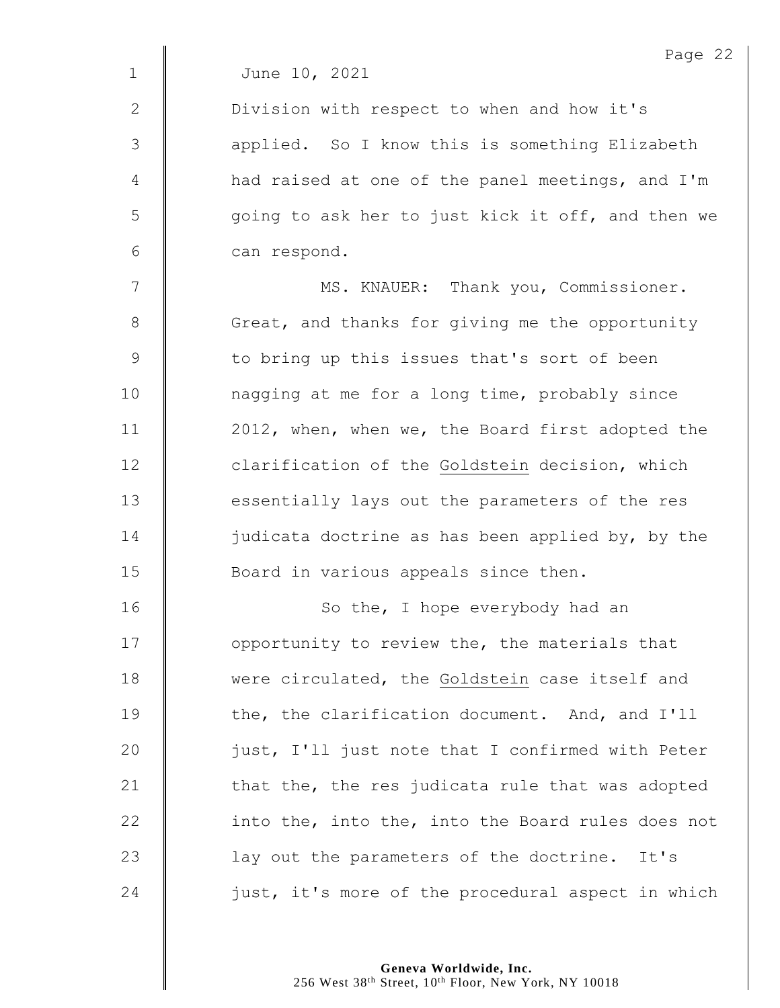2 | Division with respect to when and how it's 3 || applied. So I know this is something Elizabeth 4 | had raised at one of the panel meetings, and I'm 5 || going to ask her to just kick it off, and then we 6 can respond.

7 | MS. KNAUER: Thank you, Commissioner. 8 Great, and thanks for giving me the opportunity 9 | to bring up this issues that's sort of been 10 | nagging at me for a long time, probably since 11 | 2012, when, when we, the Board first adopted the 12 **clarification of the Goldstein decision, which** 13 **essentially lays out the parameters of the res** 14  $\parallel$  judicata doctrine as has been applied by, by the 15 **Board in various appeals since then.** 

16 | So the, I hope everybody had an 17 **I** opportunity to review the, the materials that 18 Were circulated, the Goldstein case itself and 19 **the, the clarification document.** And, and I'll 20 | just, I'll just note that I confirmed with Peter 21  $\parallel$  that the, the res judicata rule that was adopted 22  $\parallel$  into the, into the, into the Board rules does not 23 | lay out the parameters of the doctrine. It's 24  $\parallel$  just, it's more of the procedural aspect in which

> **Geneva Worldwide, Inc.** 256 West 38<sup>th</sup> Street, 10<sup>th</sup> Floor, New York, NY 10018

Page 22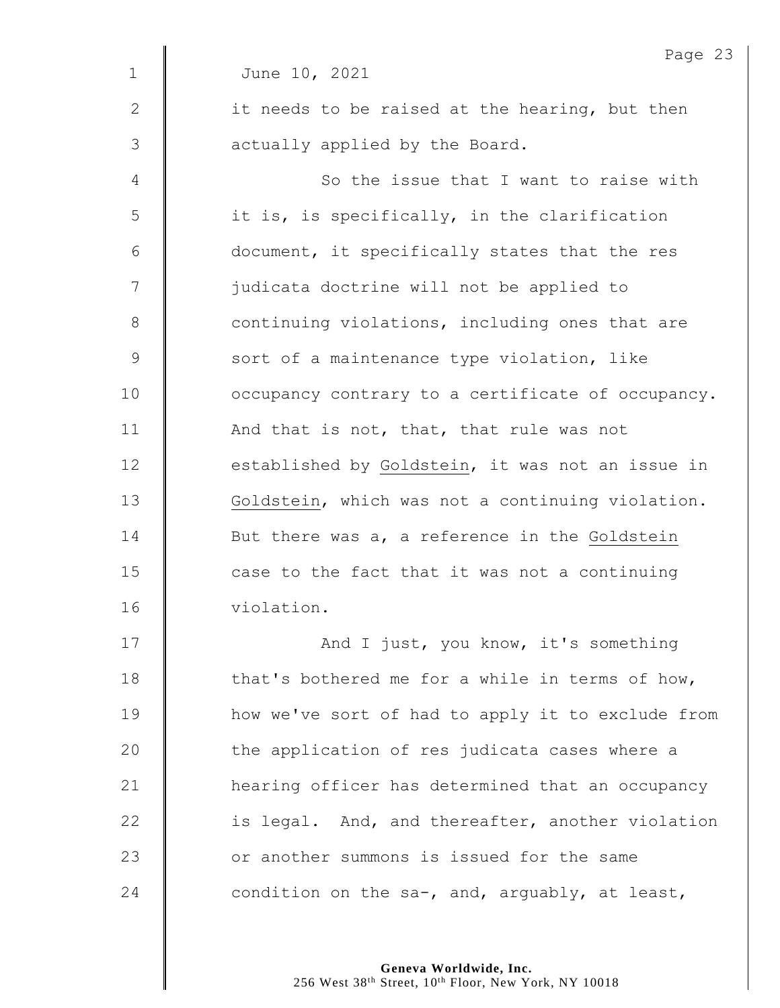|              | Page 23                                           |
|--------------|---------------------------------------------------|
| $\mathbf 1$  | June 10, 2021                                     |
| $\mathbf{2}$ | it needs to be raised at the hearing, but then    |
| 3            | actually applied by the Board.                    |
| 4            | So the issue that I want to raise with            |
| 5            | it is, is specifically, in the clarification      |
| $6\,$        | document, it specifically states that the res     |
| 7            | judicata doctrine will not be applied to          |
| $8\,$        | continuing violations, including ones that are    |
| 9            | sort of a maintenance type violation, like        |
| 10           | occupancy contrary to a certificate of occupancy. |
| 11           | And that is not, that, that rule was not          |
| 12           | established by Goldstein, it was not an issue in  |
| 13           | Goldstein, which was not a continuing violation.  |
| 14           | But there was a, a reference in the Goldstein     |
| 15           | case to the fact that it was not a continuing     |
| 16           | violation.                                        |
| 17           | And I just, you know, it's something              |
| 18           | that's bothered me for a while in terms of how,   |
| 19           | how we've sort of had to apply it to exclude from |
| 20           | the application of res judicata cases where a     |
| 21           | hearing officer has determined that an occupancy  |
| 22           | is legal. And, and thereafter, another violation  |
| 23           | or another summons is issued for the same         |
| 24           | condition on the sa-, and, arguably, at least,    |
|              |                                                   |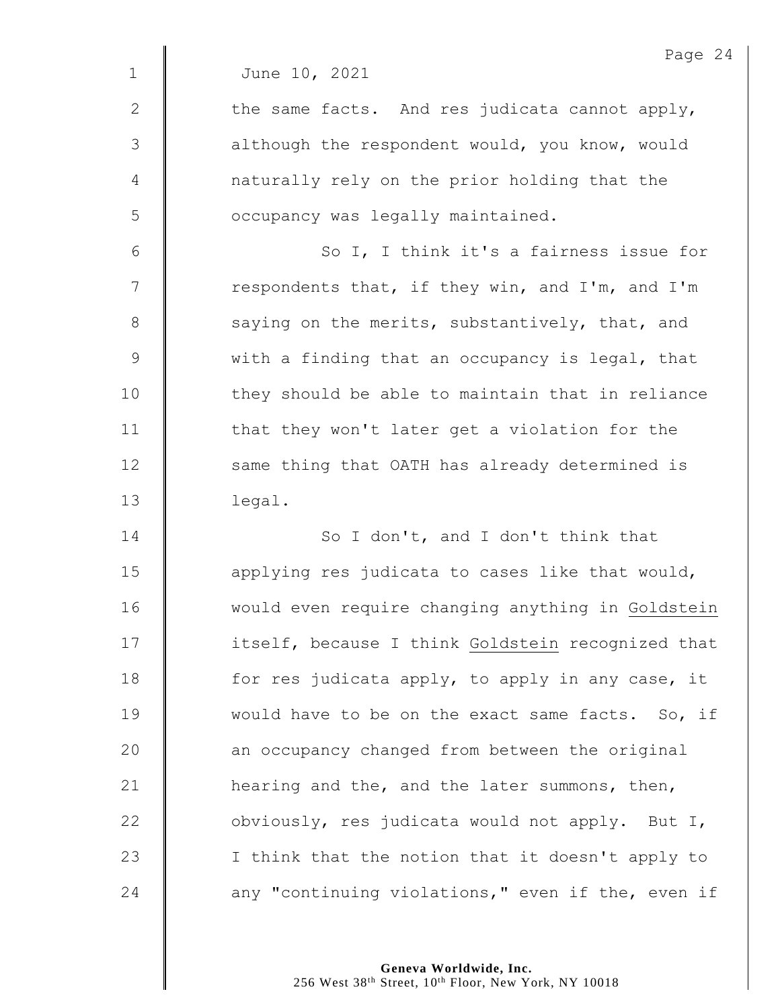2  $\parallel$  the same facts. And res judicata cannot apply, 3 | although the respondent would, you know, would 4 naturally rely on the prior holding that the 5 | occupancy was legally maintained.

6 || So I, I think it's a fairness issue for  $7 \parallel$  respondents that, if they win, and I'm, and I'm 8 saying on the merits, substantively, that, and 9 We with a finding that an occupancy is legal, that 10 | they should be able to maintain that in reliance 11  $\parallel$  that they won't later get a violation for the 12 | same thing that OATH has already determined is 13 legal.

14 | So I don't, and I don't think that  $\parallel$  applying res judicata to cases like that would, 16 | would even require changing anything in Goldstein 17 | itself, because I think Goldstein recognized that  $\parallel$  for res judicata apply, to apply in any case, it 19 Would have to be on the exact same facts. So, if **an** occupancy changed from between the original  $\parallel$  hearing and the, and the later summons, then,  $\parallel$  obviously, res judicata would not apply. But I, | I think that the notion that it doesn't apply to **any "continuing violations,"** even if the, even if

> **Geneva Worldwide, Inc.** 256 West 38<sup>th</sup> Street, 10<sup>th</sup> Floor, New York, NY 10018

Page 24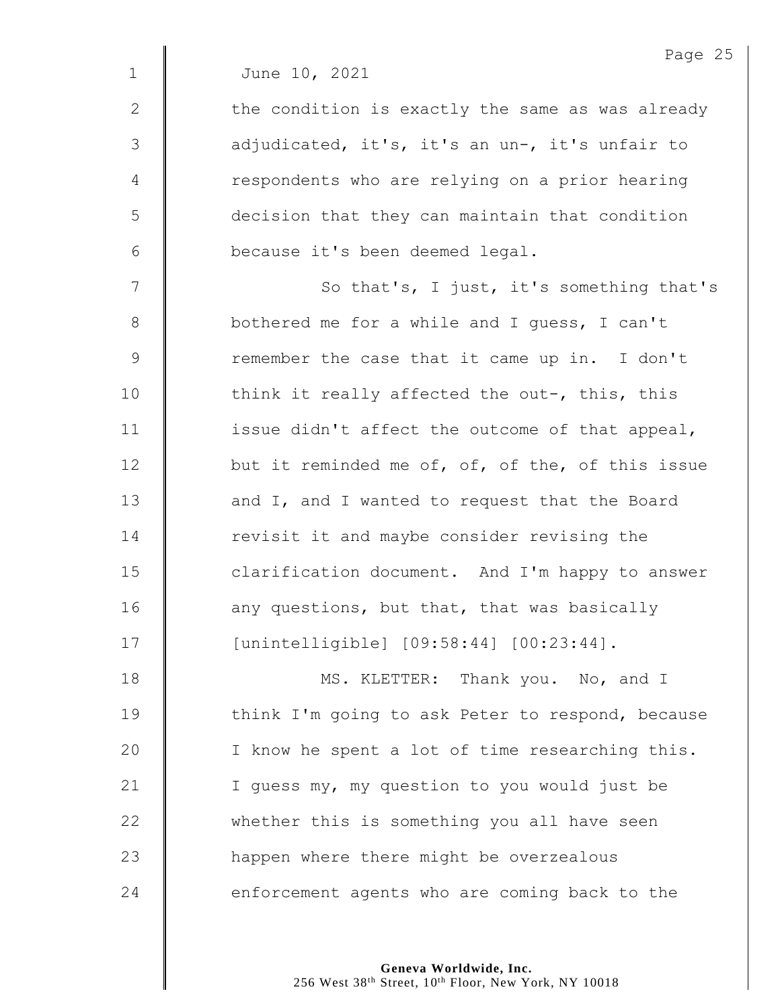$2 \parallel$  the condition is exactly the same as was already 3 | adjudicated, it's, it's an un-, it's unfair to 4 | respondents who are relying on a prior hearing 5 decision that they can maintain that condition 6 because it's been deemed legal.

7 | So that's, I just, it's something that's **bothered me for a while and I guess, I can't** 9 The member the case that it came up in. I don't 10 | think it really affected the out-, this, this  $\parallel$  issue didn't affect the outcome of that appeal, **but it reminded me of, of, of the, of this issue**  $\parallel$  and I, and I wanted to request that the Board 14 Tevisit it and maybe consider revising the **clarification document.** And I'm happy to answer  $\parallel$  any questions, but that, that was basically [unintelligible] [09:58:44] [00:23:44].

18 **MS. KLETTER:** Thank you. No, and I 19 | think I'm going to ask Peter to respond, because 20 | I know he spent a lot of time researching this. 21 | I guess my, my question to you would just be 22 whether this is something you all have seen 23 **happen** where there might be overzealous  $24$   $\parallel$  enforcement agents who are coming back to the

> **Geneva Worldwide, Inc.** 256 West 38<sup>th</sup> Street, 10<sup>th</sup> Floor, New York, NY 10018

Page 25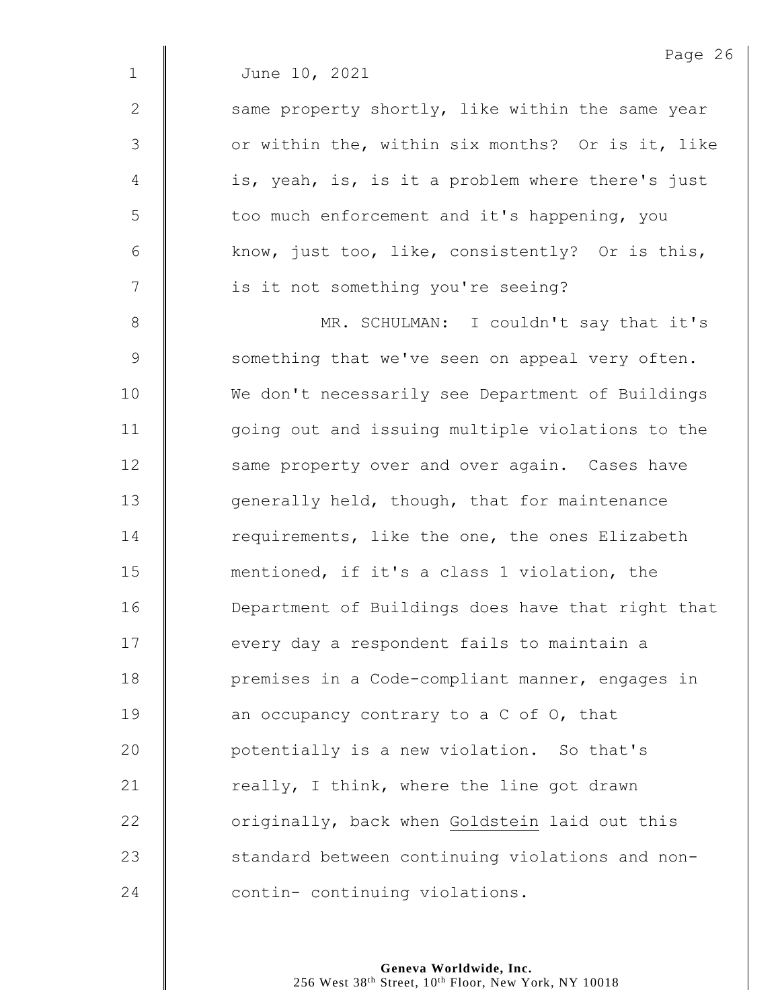|  | June 10, 2021 |  |  |
|--|---------------|--|--|
|--|---------------|--|--|

 $2 \parallel$  same property shortly, like within the same year 3 | or within the, within six months? Or is it, like 4 | is, yeah, is, is it a problem where there's just 5 | too much enforcement and it's happening, you 6 Know, just too, like, consistently? Or is this, 7 | is it not something you're seeing?

8 MR. SCHULMAN: I couldn't say that it's 9 Something that we've seen on appeal very often. 10 We don't necessarily see Department of Buildings 11 | going out and issuing multiple violations to the 12 | same property over and over again. Cases have 13 **J** generally held, though, that for maintenance 14 Tequirements, like the one, the ones Elizabeth 15 mentioned, if it's a class 1 violation, the 16 Department of Buildings does have that right that 17 | every day a respondent fails to maintain a 18 **premises in a Code-compliant manner, engages in** 19  $\parallel$  an occupancy contrary to a C of O, that 20 **Q** potentially is a new violation. So that's 21  $\parallel$  really, I think, where the line got drawn 22 **J** originally, back when Goldstein laid out this 23 Standard between continuing violations and non-24 **contin-** continuing violations.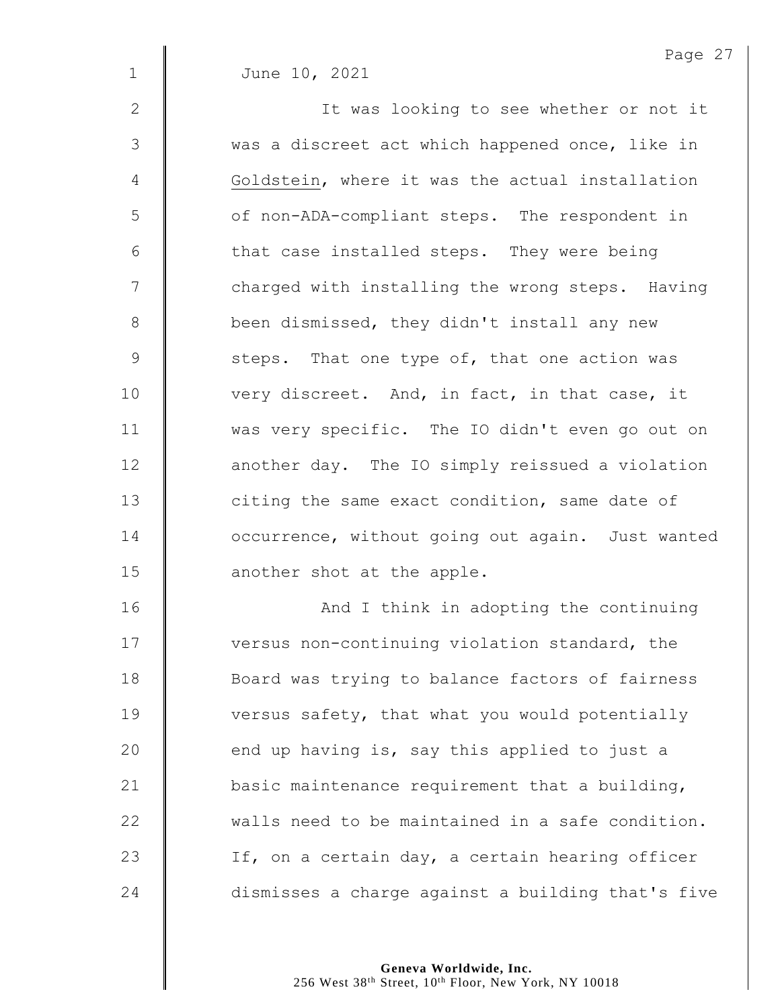2 || It was looking to see whether or not it 3 | was a discreet act which happened once, like in 4 Goldstein, where it was the actual installation 5 | of non-ADA-compliant steps. The respondent in  $6 \parallel$  that case installed steps. They were being 7 | charged with installing the wrong steps. Having 8 | been dismissed, they didn't install any new 9 Steps. That one type of, that one action was 10 very discreet. And, in fact, in that case, it 11 | was very specific. The IO didn't even go out on 12 **deg 12** another day. The IO simply reissued a violation 13 **I** citing the same exact condition, same date of 14 **dece** occurrence, without going out again. Just wanted 15 **another** shot at the apple.

16 | And I think in adopting the continuing 17 | versus non-continuing violation standard, the **Board was trying to balance factors of fairness wersus safety, that what you would potentially**  $\parallel$  end up having is, say this applied to just a  $\parallel$  basic maintenance requirement that a building,  $\parallel$  walls need to be maintained in a safe condition.  $\parallel$  If, on a certain day, a certain hearing officer 24 dismisses a charge against a building that's five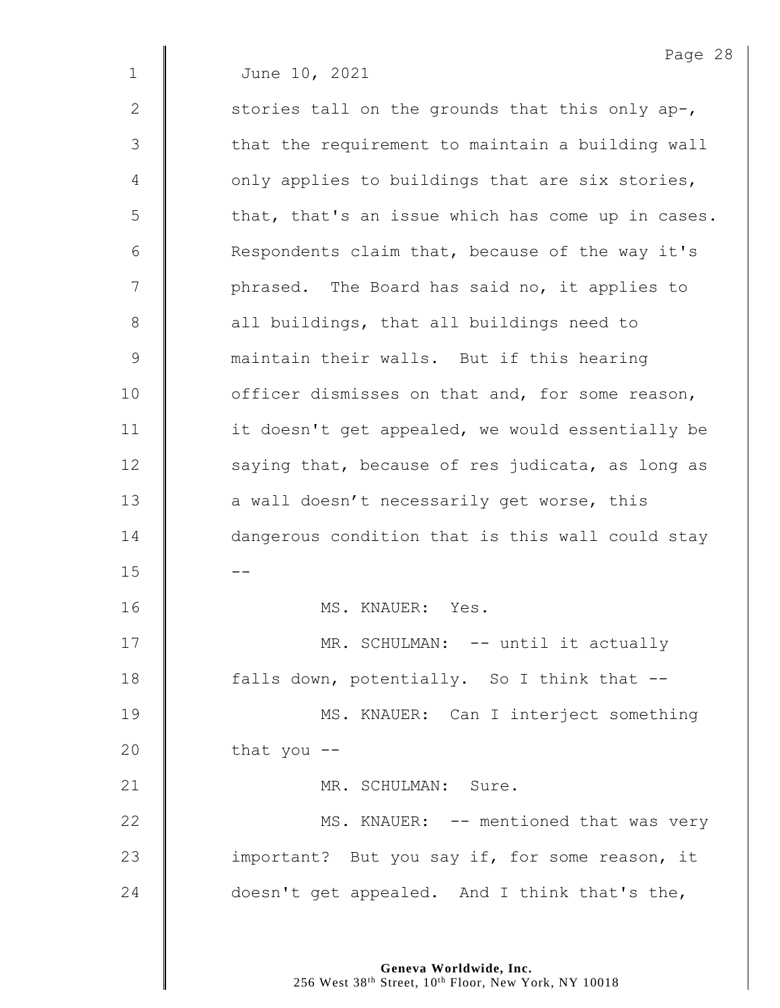Page 28 1 June 10, 2021 2  $\parallel$  stories tall on the grounds that this only ap-,  $3 \parallel$  that the requirement to maintain a building wall  $4 \parallel$  only applies to buildings that are six stories,  $5 \parallel$  that, that's an issue which has come up in cases. 6  $\parallel$  Respondents claim that, because of the way it's 7 | phrased. The Board has said no, it applies to 8 | all buildings, that all buildings need to 9 maintain their walls. But if this hearing 10 **deg is 10** officer dismisses on that and, for some reason, 11 | it doesn't get appealed, we would essentially be  $12$   $\parallel$  saying that, because of res judicata, as long as 13 **a** wall doesn't necessarily get worse, this 14 **dangerous condition that is this wall could stay**  $15$ 16 | MS. KNAUER: Yes. 17 | MR. SCHULMAN: -- until it actually 18 **falls down, potentially.** So I think that --19 | MS. KNAUER: Can I interject something 20  $\parallel$  that you --21 | MR. SCHULMAN: Sure. 22 | MS. KNAUER: -- mentioned that was very 23 **important?** But you say if, for some reason, it 24  $\parallel$  doesn't get appealed. And I think that's the,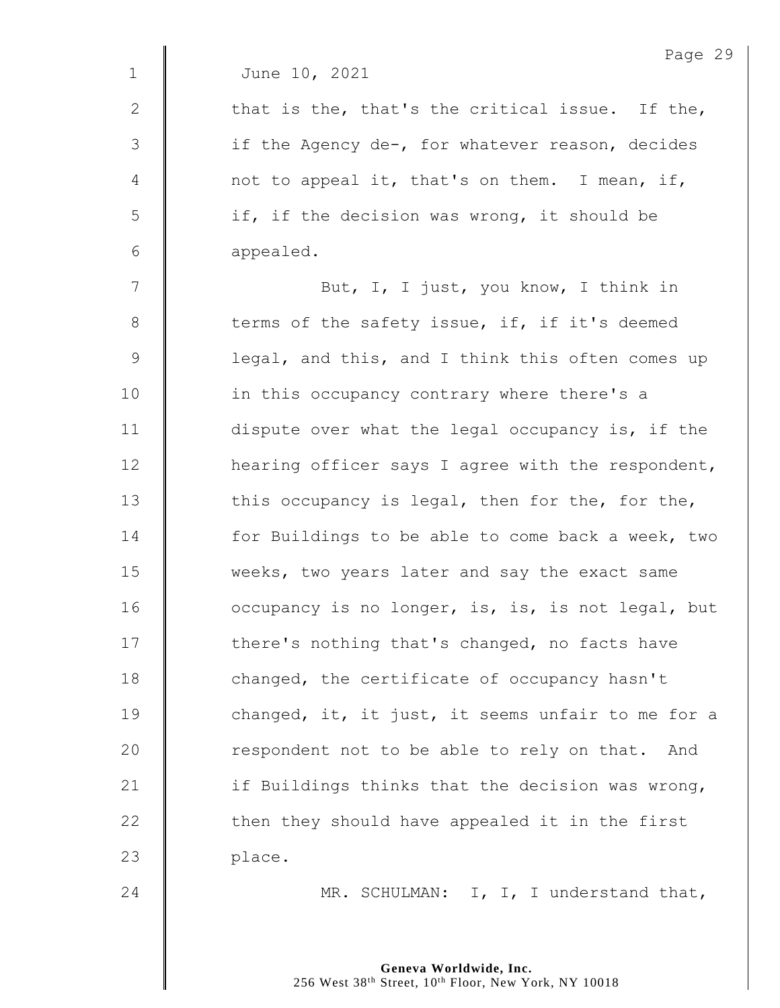|  | June 10, 2021 |
|--|---------------|

2  $\parallel$  that is the, that's the critical issue. If the, 3 | if the Agency de-, for whatever reason, decides 4  $\parallel$  not to appeal it, that's on them. I mean, if, 5 | if, if the decision was wrong, it should be 6 appealed.

7 | But, I, I just, you know, I think in 8 terms of the safety issue, if, if it's deemed 9 | legal, and this, and I think this often comes up 10 | in this occupancy contrary where there's a 11 dispute over what the legal occupancy is, if the 12 **H** hearing officer says I agree with the respondent, 13  $\parallel$  this occupancy is legal, then for the, for the, 14 **for Buildings to be able to come back a week, two** 15 Weeks, two years later and say the exact same 16 **dec** occupancy is no longer, is, is, is not legal, but 17 | there's nothing that's changed, no facts have 18 **changed**, the certificate of occupancy hasn't 19 **changed, it, it just, it seems unfair to me for a** 20 **The able of the Setuan Contains** 20 **The Setuan Containst** 20 **The Setuan Containst** 20 **The Setuan Containst** 20 **The Setuan** 20 **The Setuan** 20 **The Setuan** 20 **The Setuan** 20 **The Setuan** 20 **The Setuan** 20 **The Set** 21  $\parallel$  if Buildings thinks that the decision was wrong,  $22$   $\parallel$  then they should have appealed it in the first 23 place.

24  $\parallel$  MR. SCHULMAN: I, I, I understand that,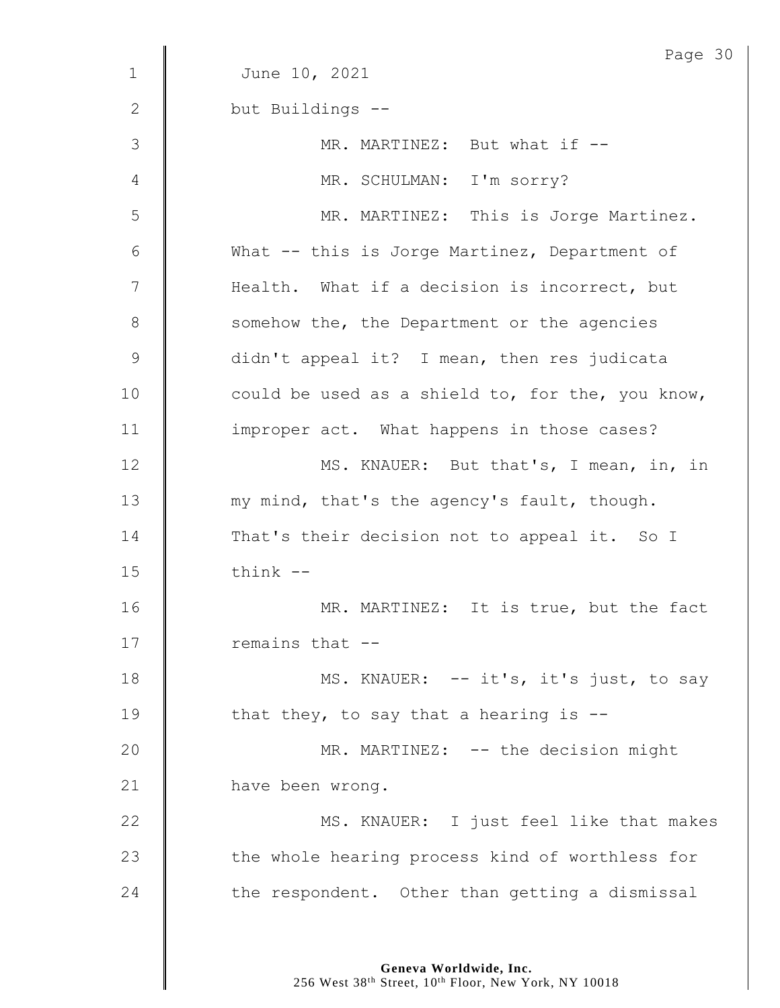|              | Page 30                                          |
|--------------|--------------------------------------------------|
| $\mathbf{1}$ | June 10, 2021                                    |
| 2            | but Buildings --                                 |
| 3            | MR. MARTINEZ: But what if --                     |
| 4            | MR. SCHULMAN: I'm sorry?                         |
| 5            | MR. MARTINEZ: This is Jorge Martinez.            |
| 6            | What -- this is Jorge Martinez, Department of    |
| 7            | Health. What if a decision is incorrect, but     |
| $8\,$        | somehow the, the Department or the agencies      |
| $\mathsf 9$  | didn't appeal it? I mean, then res judicata      |
| 10           | could be used as a shield to, for the, you know, |
| 11           | improper act. What happens in those cases?       |
| 12           | MS. KNAUER: But that's, I mean, in, in           |
| 13           | my mind, that's the agency's fault, though.      |
| 14           | That's their decision not to appeal it. So I     |
| 15           | think --                                         |
| 16           | MR. MARTINEZ: It is true, but the fact           |
| 17           | remains that --                                  |
| 18           | MS. KNAUER: -- it's, it's just, to say           |
| 19           | that they, to say that a hearing is $-$ -        |
| 20           | MR. MARTINEZ: -- the decision might              |
| 21           | have been wrong.                                 |
| 22           | MS. KNAUER: I just feel like that makes          |
| 23           | the whole hearing process kind of worthless for  |
| 24           | the respondent. Other than getting a dismissal   |

**Geneva Worldwide, Inc.**

256 West 38<sup>th</sup> Street, 10<sup>th</sup> Floor, New York, NY 10018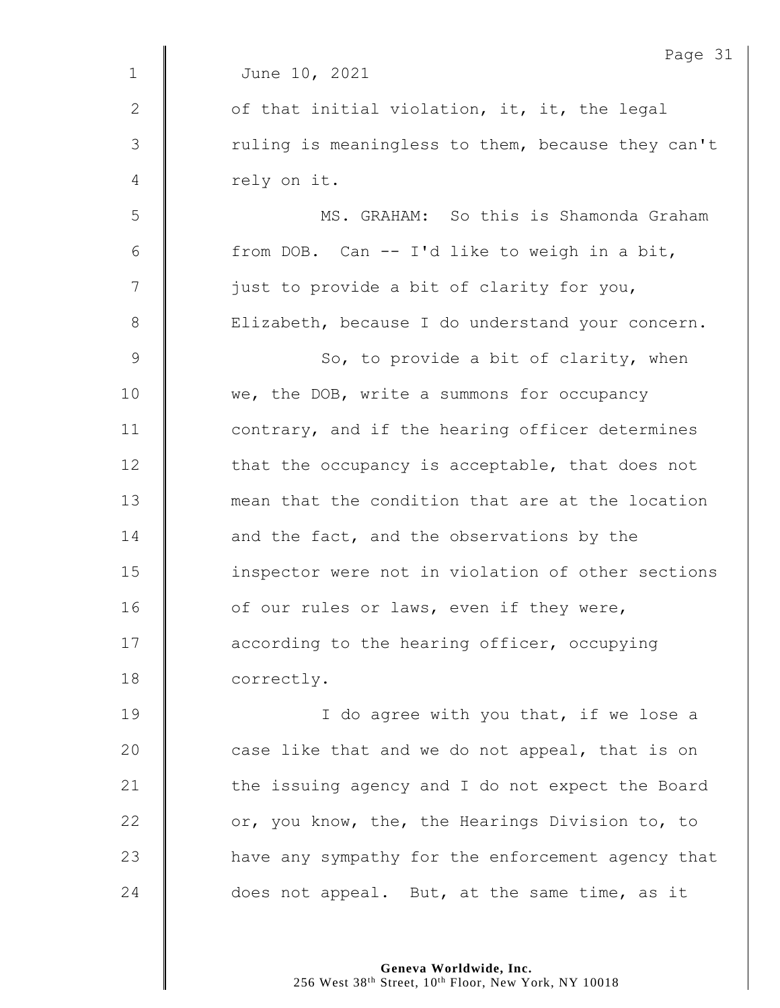|              | Page 31                                           |
|--------------|---------------------------------------------------|
| $\mathbf{1}$ | June 10, 2021                                     |
| 2            | of that initial violation, it, it, the legal      |
| 3            | ruling is meaningless to them, because they can't |
| 4            | rely on it.                                       |
| 5            | MS. GRAHAM: So this is Shamonda Graham            |
| 6            | from DOB. Can -- I'd like to weigh in a bit,      |
| 7            | just to provide a bit of clarity for you,         |
| $8\,$        | Elizabeth, because I do understand your concern.  |
| $\mathsf 9$  | So, to provide a bit of clarity, when             |
| 10           | we, the DOB, write a summons for occupancy        |
| 11           | contrary, and if the hearing officer determines   |
| 12           | that the occupancy is acceptable, that does not   |
| 13           | mean that the condition that are at the location  |
| 14           | and the fact, and the observations by the         |
| 15           | inspector were not in violation of other sections |
| 16           | of our rules or laws, even if they were,          |
| 17           | according to the hearing officer, occupying       |
| 18           | correctly.                                        |
| 19           | I do agree with you that, if we lose a            |
| 20           | case like that and we do not appeal, that is on   |
| 21           | the issuing agency and I do not expect the Board  |
| 22           | or, you know, the, the Hearings Division to, to   |
| 23           | have any sympathy for the enforcement agency that |
| 24           | does not appeal. But, at the same time, as it     |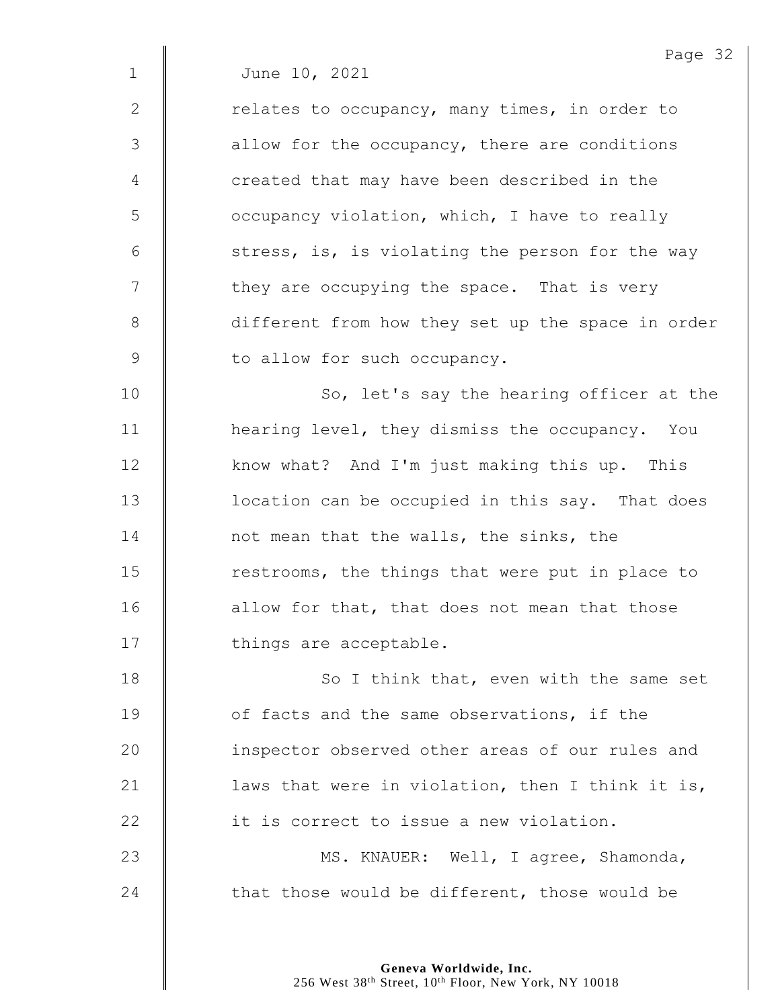2 | Telates to occupancy, many times, in order to 3 **deg is allow** for the occupancy, there are conditions 4 | created that may have been described in the 5 | occupancy violation, which, I have to really  $6$  | stress, is, is violating the person for the way  $7 \parallel$  they are occupying the space. That is very 8 different from how they set up the space in order 9 | to allow for such occupancy.

10 | So, let's say the hearing officer at the 11 **H** hearing level, they dismiss the occupancy. You 12 xnow what? And I'm just making this up. This 13 | location can be occupied in this say. That does 14 **not mean that the walls, the sinks, the** 15 Testrooms, the things that were put in place to 16 **decive** allow for that, that does not mean that those 17 | things are acceptable.

18 | So I think that, even with the same set **J** of facts and the same observations, if the **inspector observed other areas of our rules and**  $\parallel$  laws that were in violation, then I think it is, **dege** it is correct to issue a new violation. 23 | MS. KNAUER: Well, I agree, Shamonda,

24  $\parallel$  that those would be different, those would be

**Geneva Worldwide, Inc.** 256 West 38<sup>th</sup> Street, 10<sup>th</sup> Floor, New York, NY 10018 Page 32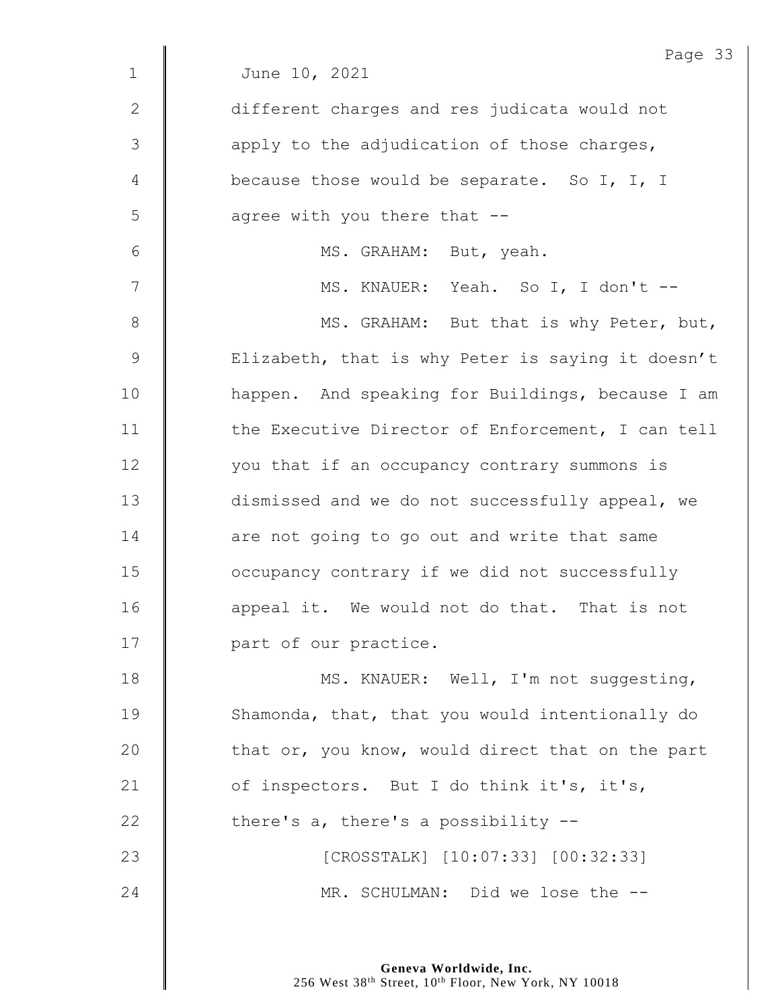|              | Page 33                                           |
|--------------|---------------------------------------------------|
| $\mathbf 1$  | June 10, 2021                                     |
| $\mathbf{2}$ | different charges and res judicata would not      |
| 3            | apply to the adjudication of those charges,       |
| 4            | because those would be separate. So I, I, I       |
| 5            | agree with you there that --                      |
| 6            | MS. GRAHAM: But, yeah.                            |
| 7            | MS. KNAUER: Yeah. So I, I don't --                |
| 8            | MS. GRAHAM: But that is why Peter, but,           |
| 9            | Elizabeth, that is why Peter is saying it doesn't |
| 10           | happen. And speaking for Buildings, because I am  |
| 11           | the Executive Director of Enforcement, I can tell |
| 12           | you that if an occupancy contrary summons is      |
| 13           | dismissed and we do not successfully appeal, we   |
| 14           | are not going to go out and write that same       |
| 15           | occupancy contrary if we did not successfully     |
| 16           | appeal it. We would not do that. That is not      |
| 17           | part of our practice.                             |
| 18           | MS. KNAUER: Well, I'm not suggesting,             |
| 19           | Shamonda, that, that you would intentionally do   |
| 20           | that or, you know, would direct that on the part  |
| 21           | of inspectors. But I do think it's, it's,         |
| 22           | there's a, there's a possibility --               |
| 23           | [CROSSTALK] [10:07:33] [00:32:33]                 |
| 24           | MR. SCHULMAN: Did we lose the --                  |
|              |                                                   |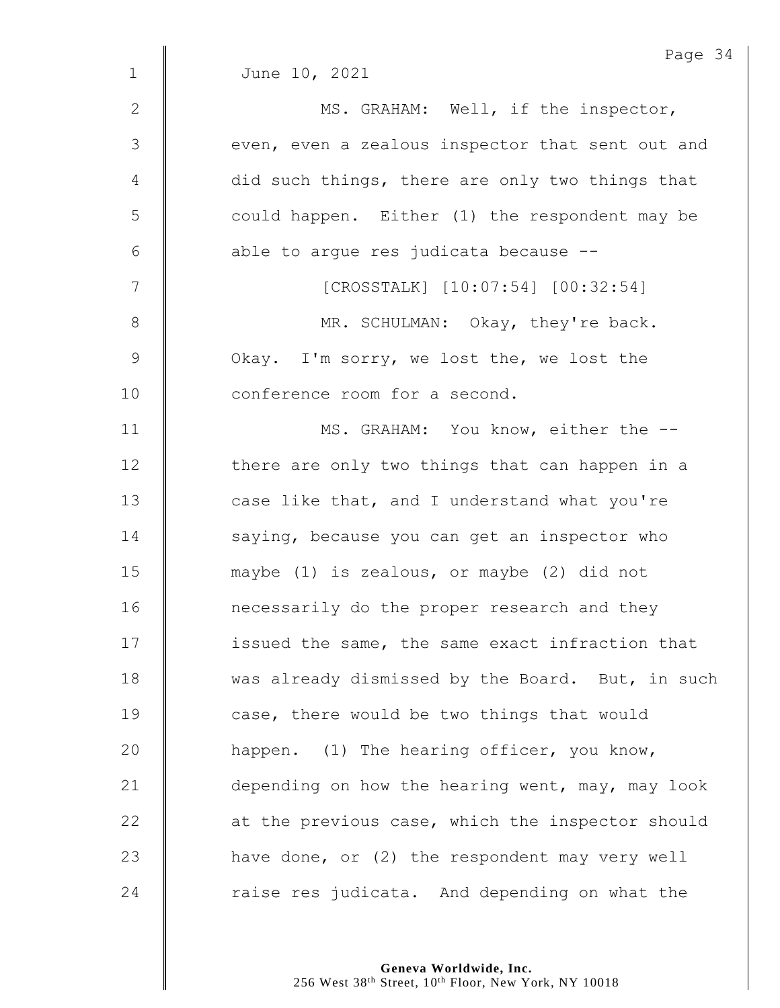|                | Page 34                                          |
|----------------|--------------------------------------------------|
| $\mathbf 1$    | June 10, 2021                                    |
| $\mathbf{2}$   | MS. GRAHAM: Well, if the inspector,              |
| $\mathfrak{Z}$ | even, even a zealous inspector that sent out and |
| $\overline{4}$ | did such things, there are only two things that  |
| 5              | could happen. Either (1) the respondent may be   |
| 6              | able to argue res judicata because --            |
| 7              | [CROSSTALK] [10:07:54] [00:32:54]                |
| $\,8\,$        | MR. SCHULMAN: Okay, they're back.                |
| $\mathsf 9$    | Okay. I'm sorry, we lost the, we lost the        |
| 10             | conference room for a second.                    |
| 11             | MS. GRAHAM: You know, either the --              |
| 12             | there are only two things that can happen in a   |
| 13             | case like that, and I understand what you're     |
| 14             | saying, because you can get an inspector who     |
| 15             | maybe (1) is zealous, or maybe (2) did not       |
| 16             | necessarily do the proper research and they      |
| 17             | issued the same, the same exact infraction that  |
| 18             | was already dismissed by the Board. But, in such |
| 19             | case, there would be two things that would       |
| 20             | happen. (1) The hearing officer, you know,       |
| 21             | depending on how the hearing went, may, may look |
| 22             | at the previous case, which the inspector should |
| 23             | have done, or (2) the respondent may very well   |
| 24             | raise res judicata. And depending on what the    |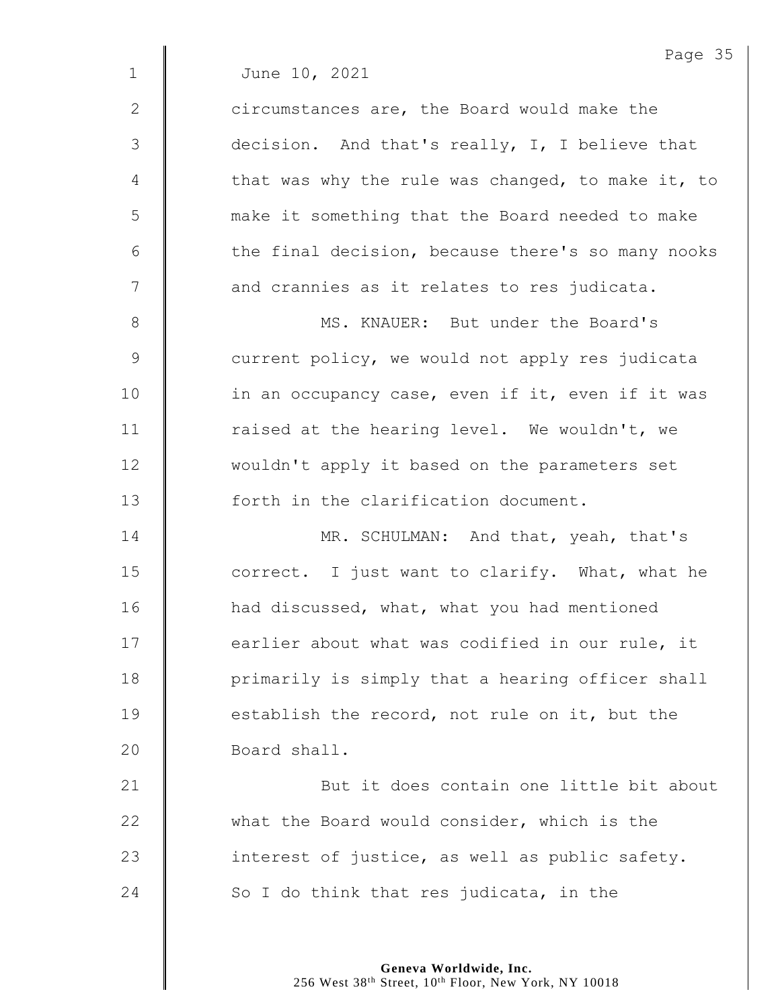2 **circumstances are, the Board would make the** 3 decision. And that's really, I, I believe that  $4 \parallel$  that was why the rule was changed, to make it, to 5 make it something that the Board needed to make  $6$   $\parallel$  the final decision, because there's so many nooks  $7 \parallel$  and crannies as it relates to res judicata.

8 **MS. KNAUER:** But under the Board's 9 Some current policy, we would not apply res judicata 10 | in an occupancy case, even if it, even if it was 11 | raised at the hearing level. We wouldn't, we 12 wouldn't apply it based on the parameters set 13  $\parallel$  forth in the clarification document.

**MR. SCHULMAN:** And that, yeah, that's  $\parallel$  correct. I just want to clarify. What, what he **H** had discussed, what, what you had mentioned **earlier** about what was codified in our rule, it | primarily is simply that a hearing officer shall **establish the record, not rule on it, but the** 20 | Board shall.

21 | But it does contain one little bit about 22 what the Board would consider, which is the 23  $\parallel$  interest of justice, as well as public safety. 24  $\parallel$  So I do think that res judicata, in the

> **Geneva Worldwide, Inc.** 256 West 38<sup>th</sup> Street, 10<sup>th</sup> Floor, New York, NY 10018

Page 35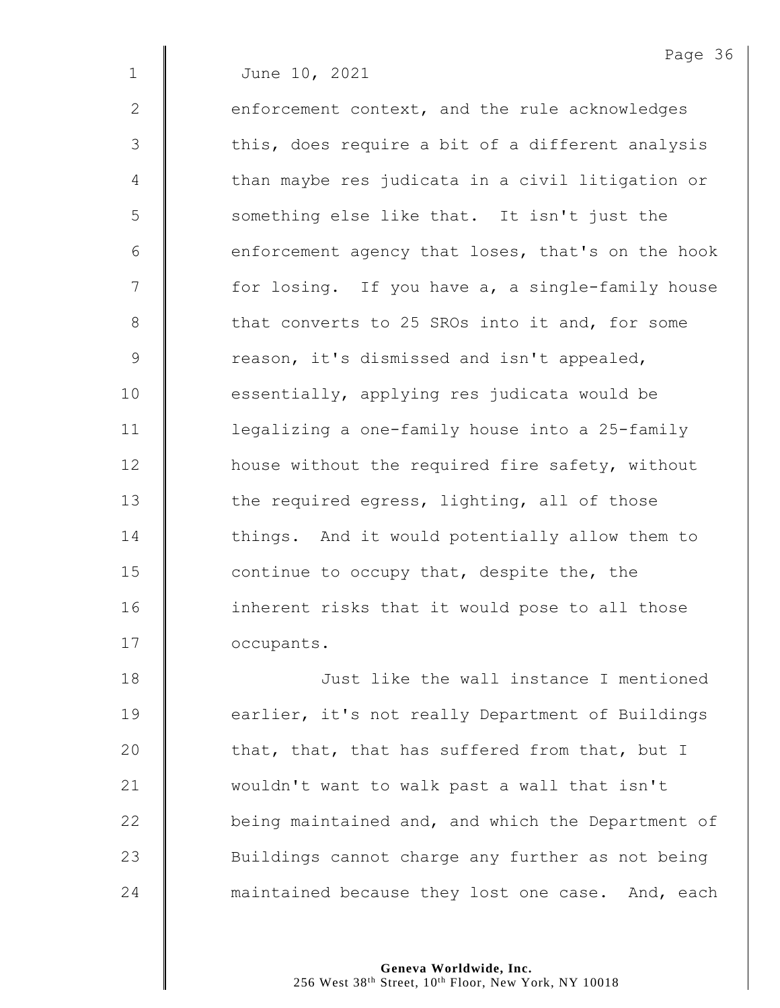$2 \parallel$  enforcement context, and the rule acknowledges 3 || this, does require a bit of a different analysis 4 | than maybe res judicata in a civil litigation or 5 || something else like that. It isn't just the  $6$  | enforcement agency that loses, that's on the hook 7 | for losing. If you have a, a single-family house 8 **b** that converts to 25 SROs into it and, for some 9 | reason, it's dismissed and isn't appealed, 10 **essentially, applying res judicata would be** 11 | legalizing a one-family house into a 25-family 12 **house without the required fire safety, without** 13 the required egress, lighting, all of those 14 things. And it would potentially allow them to 15  $\parallel$  continue to occupy that, despite the, the 16 | inherent risks that it would pose to all those 17 **C** occupants.

18 Just like the wall instance I mentioned 19 **earlier**, it's not really Department of Buildings 20  $\parallel$  that, that, that has suffered from that, but I 21 | wouldn't want to walk past a wall that isn't 22 | being maintained and, and which the Department of 23 | Buildings cannot charge any further as not being 24 **Muller** maintained because they lost one case. And, each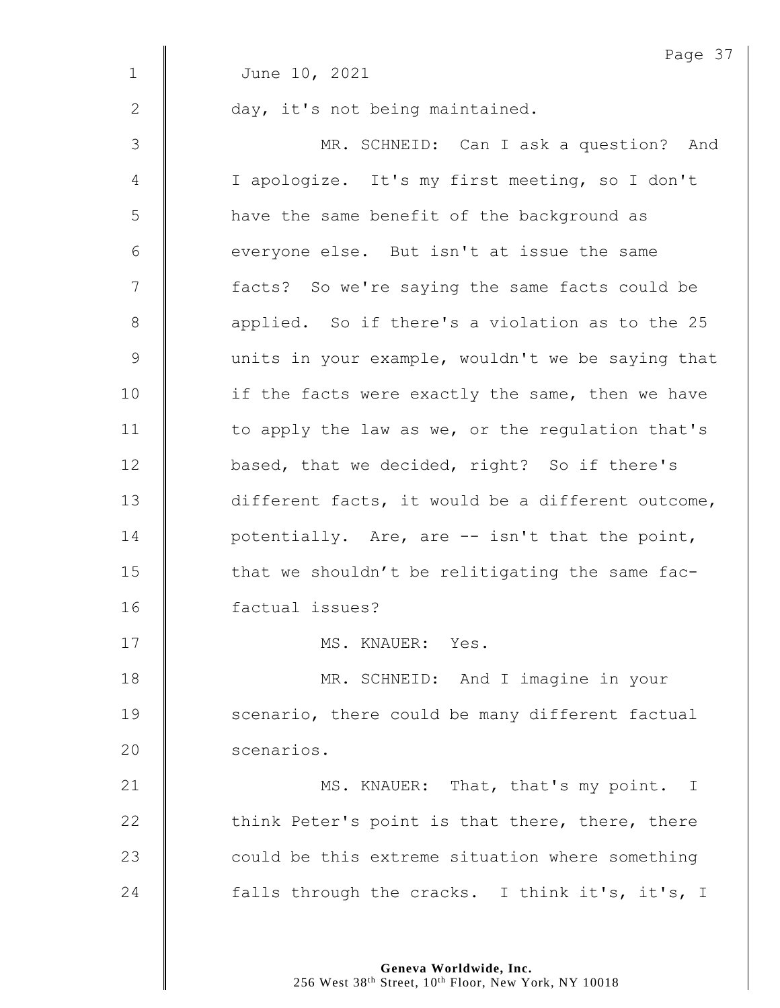|               | Page 37                                           |
|---------------|---------------------------------------------------|
| $\mathbf 1$   | June 10, 2021                                     |
| 2             | day, it's not being maintained.                   |
| 3             | MR. SCHNEID: Can I ask a question? And            |
| 4             | I apologize. It's my first meeting, so I don't    |
| 5             | have the same benefit of the background as        |
| 6             | everyone else. But isn't at issue the same        |
| 7             | facts? So we're saying the same facts could be    |
| $8\,$         | applied. So if there's a violation as to the 25   |
| $\mathcal{G}$ | units in your example, wouldn't we be saying that |
| 10            | if the facts were exactly the same, then we have  |
| 11            | to apply the law as we, or the regulation that's  |
| 12            | based, that we decided, right? So if there's      |
| 13            | different facts, it would be a different outcome, |
| 14            | potentially. Are, are -- isn't that the point,    |
| 15            | that we shouldn't be relitigating the same fac-   |
| 16            | factual issues?                                   |
| 17            | MS. KNAUER: Yes.                                  |
| 18            | MR. SCHNEID: And I imagine in your                |
| 19            | scenario, there could be many different factual   |
| 20            | scenarios.                                        |
| 21            | MS. KNAUER: That, that's my point. I              |
| 22            | think Peter's point is that there, there, there   |
| 23            | could be this extreme situation where something   |
| 24            | falls through the cracks. I think it's, it's, I   |
|               |                                                   |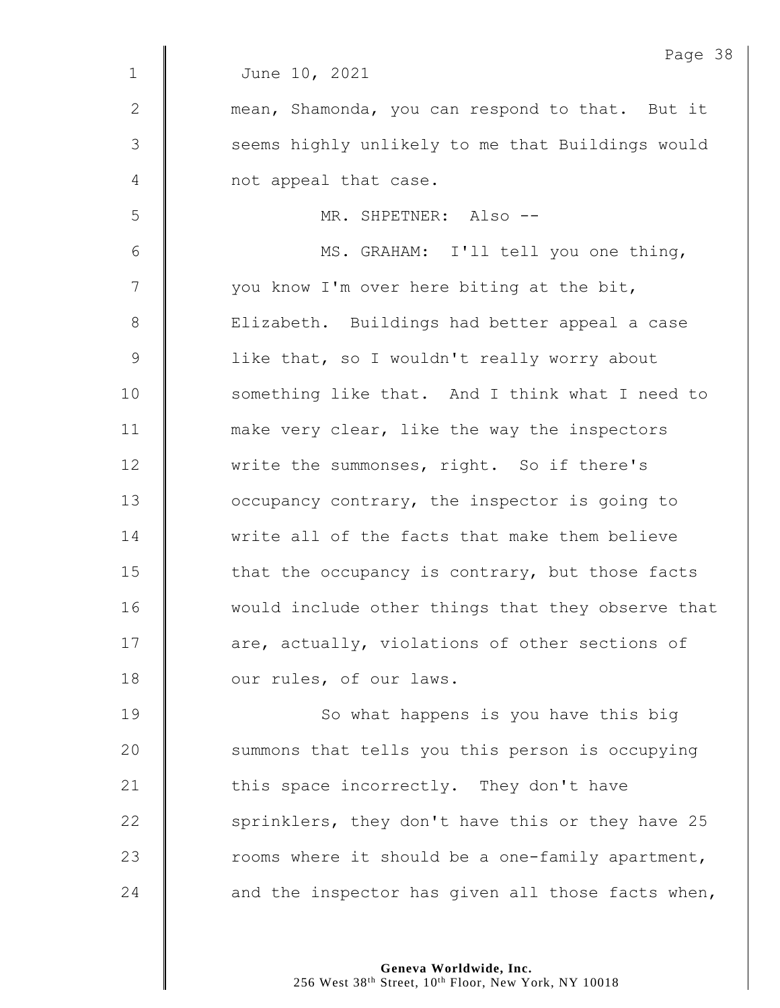|             | Page 38                                           |
|-------------|---------------------------------------------------|
| $\mathbf 1$ | June 10, 2021                                     |
| 2           | mean, Shamonda, you can respond to that. But it   |
| 3           | seems highly unlikely to me that Buildings would  |
| 4           | not appeal that case.                             |
| 5           | MR. SHPETNER: Also --                             |
| 6           | MS. GRAHAM: I'll tell you one thing,              |
| 7           | you know I'm over here biting at the bit,         |
| 8           | Elizabeth. Buildings had better appeal a case     |
| $\mathsf 9$ | like that, so I wouldn't really worry about       |
| 10          | something like that. And I think what I need to   |
| 11          | make very clear, like the way the inspectors      |
| 12          | write the summonses, right. So if there's         |
| 13          | occupancy contrary, the inspector is going to     |
| 14          | write all of the facts that make them believe     |
| 15          | that the occupancy is contrary, but those facts   |
| 16          | would include other things that they observe that |
| 17          | are, actually, violations of other sections of    |
| 18          | our rules, of our laws.                           |
| 19          | So what happens is you have this big              |
| 20          | summons that tells you this person is occupying   |
| 21          | this space incorrectly. They don't have           |
| 22          | sprinklers, they don't have this or they have 25  |
| 23          | rooms where it should be a one-family apartment,  |
| 24          | and the inspector has given all those facts when, |
|             |                                                   |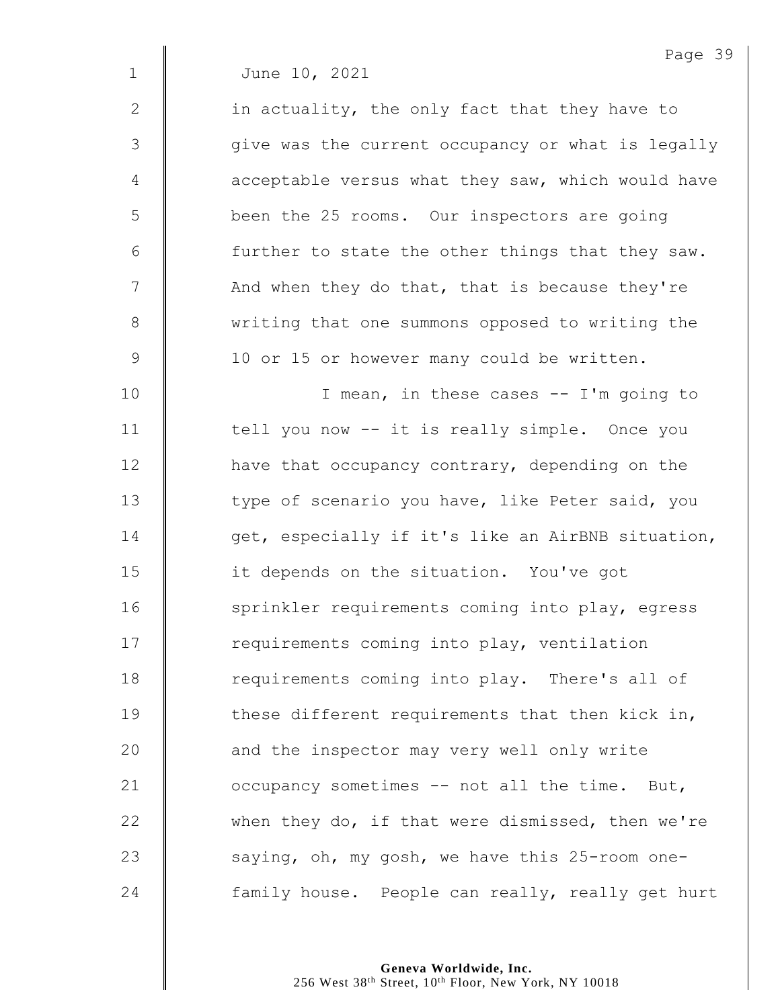2  $\parallel$  in actuality, the only fact that they have to 3 | qive was the current occupancy or what is legally  $4 \parallel$  acceptable versus what they saw, which would have 5 | been the 25 rooms. Our inspectors are going  $6$  | further to state the other things that they saw. 7 | And when they do that, that is because they're 8 We writing that one summons opposed to writing the 9 | 10 or 15 or however many could be written.

10 | T mean, in these cases -- I'm going to 11 | tell you now -- it is really simple. Once you 12 **H** have that occupancy contrary, depending on the 13 | type of scenario you have, like Peter said, you 14  $\parallel$  get, especially if it's like an AirBNB situation, 15 **i** it depends on the situation. You've got 16 | sprinkler requirements coming into play, egress 17 | requirements coming into play, ventilation 18 Tequirements coming into play. There's all of 19  $\parallel$  these different requirements that then kick in, 20 **and the inspector may very well only write** 21 **July 21** occupancy sometimes -- not all the time. But, 22 when they do, if that were dismissed, then we're 23  $\parallel$  saying, oh, my gosh, we have this 25-room one-24 **family house.** People can really, really get hurt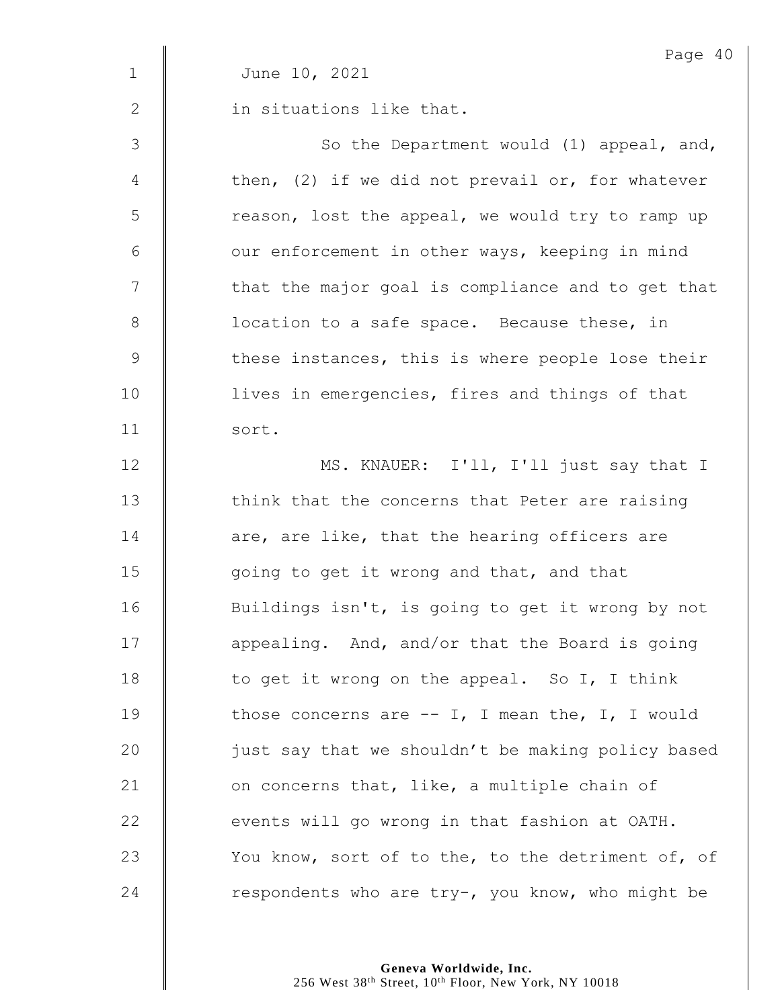|               | Page 40                                            |
|---------------|----------------------------------------------------|
| $\mathbf 1$   | June 10, 2021                                      |
| 2             | in situations like that.                           |
| 3             | So the Department would (1) appeal, and,           |
| 4             | then, $(2)$ if we did not prevail or, for whatever |
| 5             | reason, lost the appeal, we would try to ramp up   |
| $6\,$         | our enforcement in other ways, keeping in mind     |
| 7             | that the major goal is compliance and to get that  |
| $8\,$         | location to a safe space. Because these, in        |
| $\mathcal{G}$ | these instances, this is where people lose their   |
| 10            | lives in emergencies, fires and things of that     |
| 11            | sort.                                              |
| 12            | MS. KNAUER: I'll, I'll just say that I             |
| 13            | think that the concerns that Peter are raising     |
| 14            | are, are like, that the hearing officers are       |
| 15            | going to get it wrong and that, and that           |
| 16            | Buildings isn't, is going to get it wrong by not   |
| 17            | appealing. And, and/or that the Board is going     |
| 18            | to get it wrong on the appeal. So I, I think       |
| 19            | those concerns are $--$ I, I mean the, I, I would  |
| 20            | just say that we shouldn't be making policy based  |
| 21            | on concerns that, like, a multiple chain of        |
| 22            | events will go wrong in that fashion at OATH.      |
| 23            | You know, sort of to the, to the detriment of, of  |
| 24            | respondents who are try-, you know, who might be   |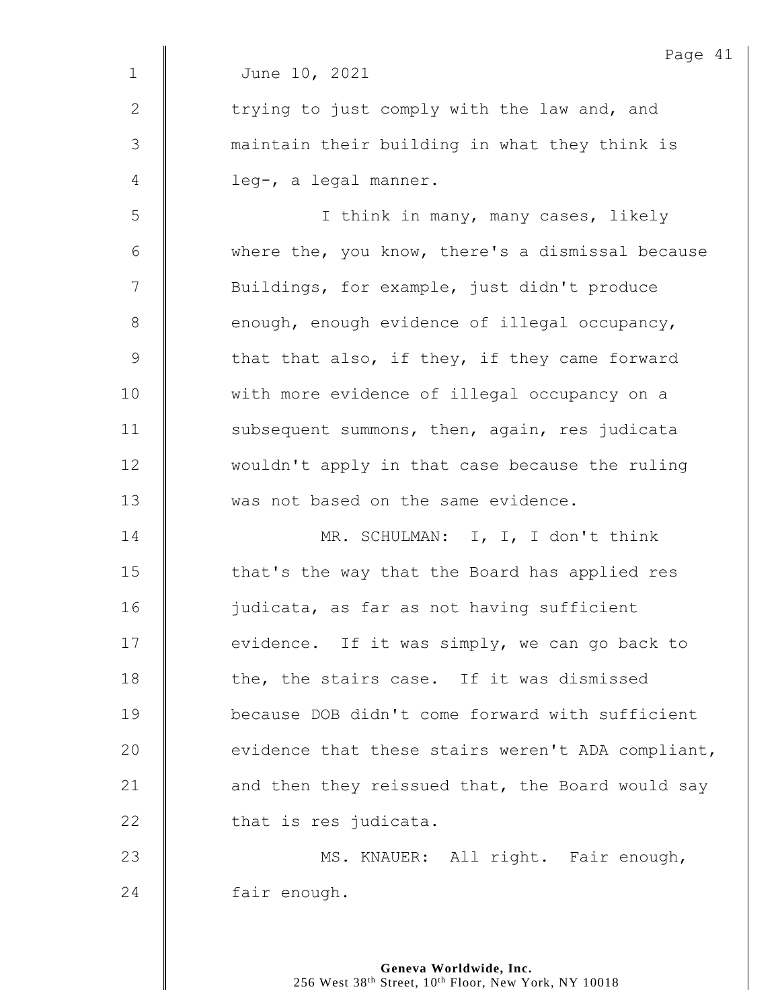|                | Page 41                                           |
|----------------|---------------------------------------------------|
| $\mathbf 1$    | June 10, 2021                                     |
| $\mathbf{2}$   | trying to just comply with the law and, and       |
| 3              | maintain their building in what they think is     |
| $\overline{4}$ | leg-, a legal manner.                             |
| 5              | I think in many, many cases, likely               |
| 6              | where the, you know, there's a dismissal because  |
| 7              | Buildings, for example, just didn't produce       |
| $8\,$          | enough, enough evidence of illegal occupancy,     |
| $\mathsf 9$    | that that also, if they, if they came forward     |
| 10             | with more evidence of illegal occupancy on a      |
| 11             | subsequent summons, then, again, res judicata     |
| 12             | wouldn't apply in that case because the ruling    |
| 13             | was not based on the same evidence.               |
| 14             | MR. SCHULMAN: I, I, I don't think                 |
| 15             | that's the way that the Board has applied res     |
| 16             | judicata, as far as not having sufficient         |
| 17             | evidence. If it was simply, we can go back to     |
| 18             | the, the stairs case. If it was dismissed         |
| 19             | because DOB didn't come forward with sufficient   |
| 20             | evidence that these stairs weren't ADA compliant, |
| 21             | and then they reissued that, the Board would say  |
| 22             | that is res judicata.                             |
| 23             | MS. KNAUER: All right. Fair enough,               |
| 24             | fair enough.                                      |
|                |                                                   |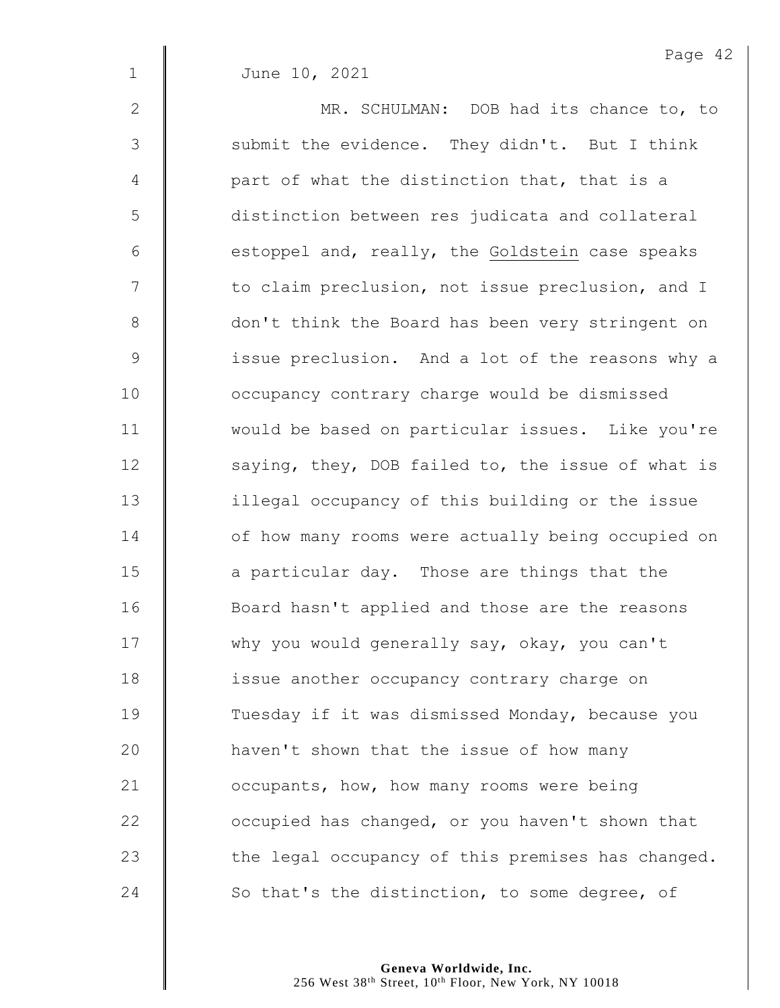| $\mathbf{2}$ | MR. SCHULMAN: DOB had its chance to, to           |
|--------------|---------------------------------------------------|
| 3            | submit the evidence. They didn't. But I think     |
| 4            | part of what the distinction that, that is a      |
| 5            | distinction between res judicata and collateral   |
| 6            | estoppel and, really, the Goldstein case speaks   |
| 7            | to claim preclusion, not issue preclusion, and I  |
| 8            | don't think the Board has been very stringent on  |
| $\mathsf 9$  | issue preclusion. And a lot of the reasons why a  |
| 10           | occupancy contrary charge would be dismissed      |
| 11           | would be based on particular issues. Like you're  |
| 12           | saying, they, DOB failed to, the issue of what is |
| 13           | illegal occupancy of this building or the issue   |
| 14           | of how many rooms were actually being occupied on |
| 15           | a particular day. Those are things that the       |
| 16           | Board hasn't applied and those are the reasons    |
| 17           | why you would generally say, okay, you can't      |
| 18           | issue another occupancy contrary charge on        |
| 19           | Tuesday if it was dismissed Monday, because you   |
| 20           | haven't shown that the issue of how many          |
| 21           | occupants, how, how many rooms were being         |
| 22           | occupied has changed, or you haven't shown that   |
| 23           | the legal occupancy of this premises has changed. |
| 24           | So that's the distinction, to some degree, of     |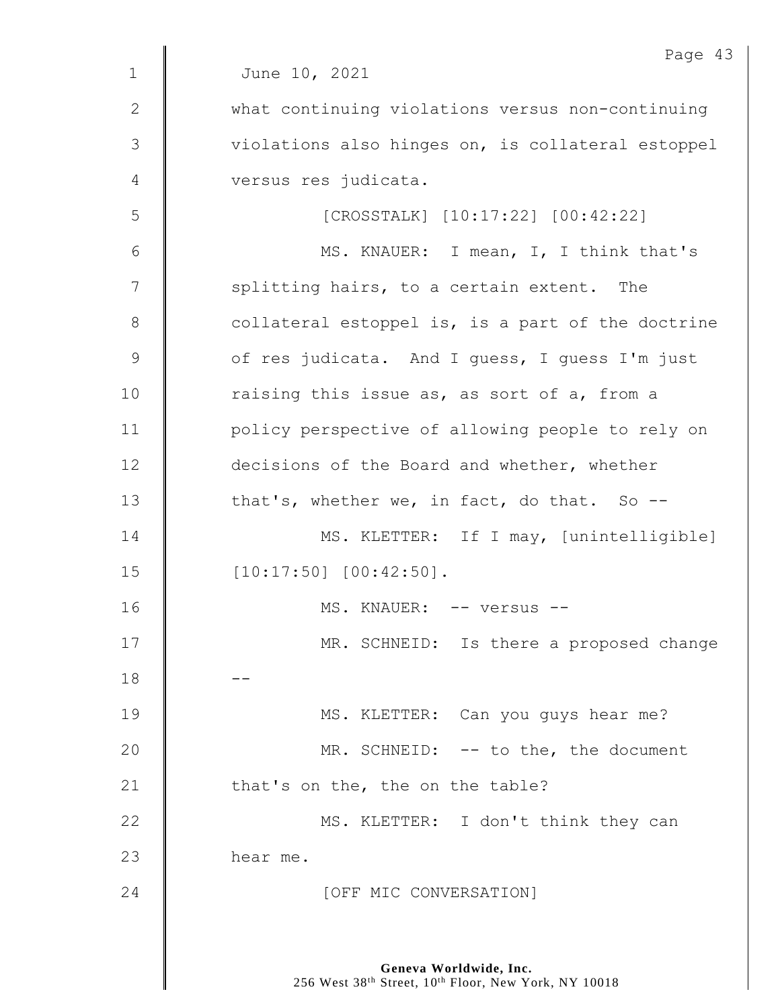|               | Page 43                                           |
|---------------|---------------------------------------------------|
| $\mathbf 1$   | June 10, 2021                                     |
| $\mathbf{2}$  | what continuing violations versus non-continuing  |
| $\mathcal{S}$ | violations also hinges on, is collateral estoppel |
| 4             | versus res judicata.                              |
| 5             | [CROSSTALK] [10:17:22] [00:42:22]                 |
| 6             | MS. KNAUER: I mean, I, I think that's             |
| 7             | splitting hairs, to a certain extent. The         |
| $8\,$         | collateral estoppel is, is a part of the doctrine |
| $\mathcal{G}$ | of res judicata. And I quess, I quess I'm just    |
| 10            | raising this issue as, as sort of a, from a       |
| 11            | policy perspective of allowing people to rely on  |
| 12            | decisions of the Board and whether, whether       |
| 13            | that's, whether we, in fact, do that. So --       |
| 14            | MS. KLETTER: If I may, [unintelligible]           |
| 15            | $[10:17:50]$ $[00:42:50]$ .                       |
| 16            | MS. KNAUER: -- versus --                          |
| 17            | MR. SCHNEID: Is there a proposed change           |
| 18            |                                                   |
| 19            | MS. KLETTER: Can you guys hear me?                |
| 20            | MR. SCHNEID: -- to the, the document              |
| 21            | that's on the, the on the table?                  |
| 22            | MS. KLETTER: I don't think they can               |
| 23            | hear me.                                          |
| 24            | [OFF MIC CONVERSATION]                            |

 $\overline{3}$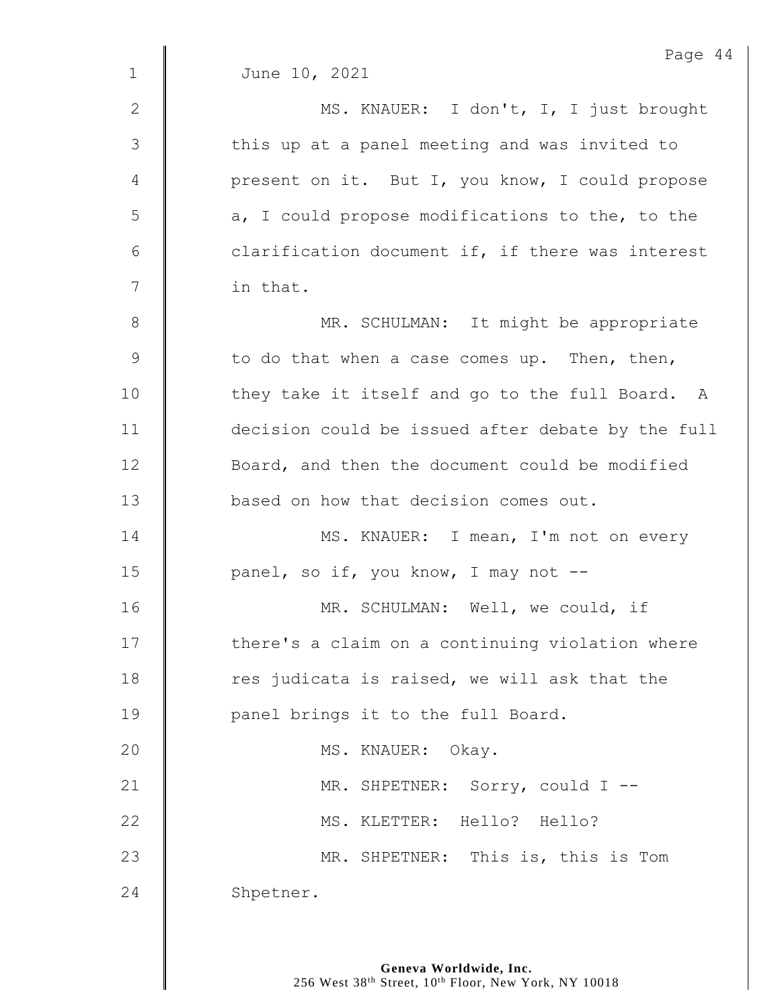|             | Page 44                                           |
|-------------|---------------------------------------------------|
| $\mathbf 1$ | June 10, 2021                                     |
| 2           | MS. KNAUER: I don't, I, I just brought            |
| 3           | this up at a panel meeting and was invited to     |
| 4           | present on it. But I, you know, I could propose   |
| 5           | a, I could propose modifications to the, to the   |
| 6           | clarification document if, if there was interest  |
| 7           | in that.                                          |
| 8           | MR. SCHULMAN: It might be appropriate             |
| 9           | to do that when a case comes up. Then, then,      |
| 10          | they take it itself and go to the full Board. A   |
| 11          | decision could be issued after debate by the full |
| 12          | Board, and then the document could be modified    |
| 13          | based on how that decision comes out.             |
| 14          | MS. KNAUER: I mean, I'm not on every              |
| 15          | panel, so if, you know, I may not --              |
| 16          | MR. SCHULMAN: Well, we could, if                  |
| 17          | there's a claim on a continuing violation where   |
| 18          | res judicata is raised, we will ask that the      |
| 19          | panel brings it to the full Board.                |
| 20          | MS. KNAUER: Okay.                                 |
| 21          | MR. SHPETNER: Sorry, could I --                   |
| 22          | MS. KLETTER: Hello? Hello?                        |
| 23          | MR. SHPETNER: This is, this is Tom                |
| 24          | Shpetner.                                         |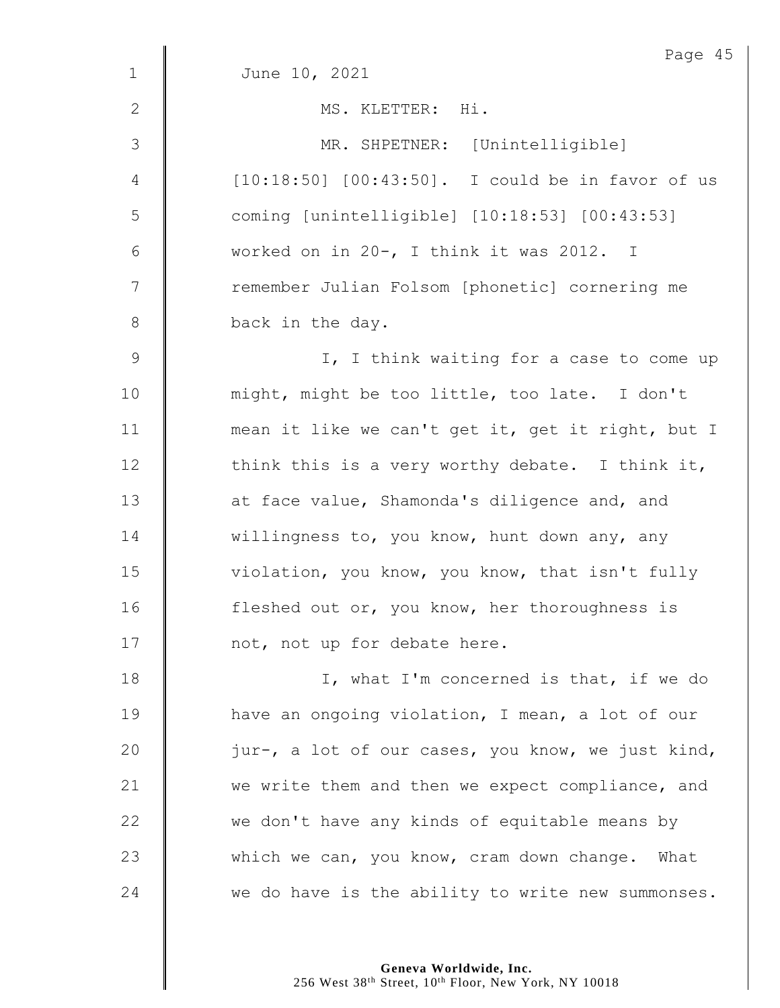| $\mathbf{1}$   | Page 45<br>June 10, 2021                          |
|----------------|---------------------------------------------------|
|                |                                                   |
| 2              | MS. KLETTER: Hi.                                  |
| 3              | MR. SHPETNER: [Unintelligible]                    |
| 4              | [10:18:50] [00:43:50]. I could be in favor of us  |
| 5              | coming [unintelligible] [10:18:53] [00:43:53]     |
| 6              | worked on in 20-, I think it was 2012. I          |
| $\overline{7}$ | remember Julian Folsom [phonetic] cornering me    |
| 8              | back in the day.                                  |
| 9              | I, I think waiting for a case to come up          |
| 10             | might, might be too little, too late. I don't     |
| 11             | mean it like we can't get it, get it right, but I |
| 12             | think this is a very worthy debate. I think it,   |
| 13             | at face value, Shamonda's diligence and, and      |
| 14             | willingness to, you know, hunt down any, any      |
| 15             | violation, you know, you know, that isn't fully   |
| 16             | fleshed out or, you know, her thoroughness is     |
| 17             | not, not up for debate here.                      |
| 18             | I, what I'm concerned is that, if we do           |
| 19             | have an ongoing violation, I mean, a lot of our   |
| 20             | jur-, a lot of our cases, you know, we just kind, |
| 21             | we write them and then we expect compliance, and  |
| 22             | we don't have any kinds of equitable means by     |
| 23             | which we can, you know, cram down change. What    |
| 24             | we do have is the ability to write new summonses. |

**Geneva Worldwide, Inc.**

256 West 38<sup>th</sup> Street, 10<sup>th</sup> Floor, New York, NY 10018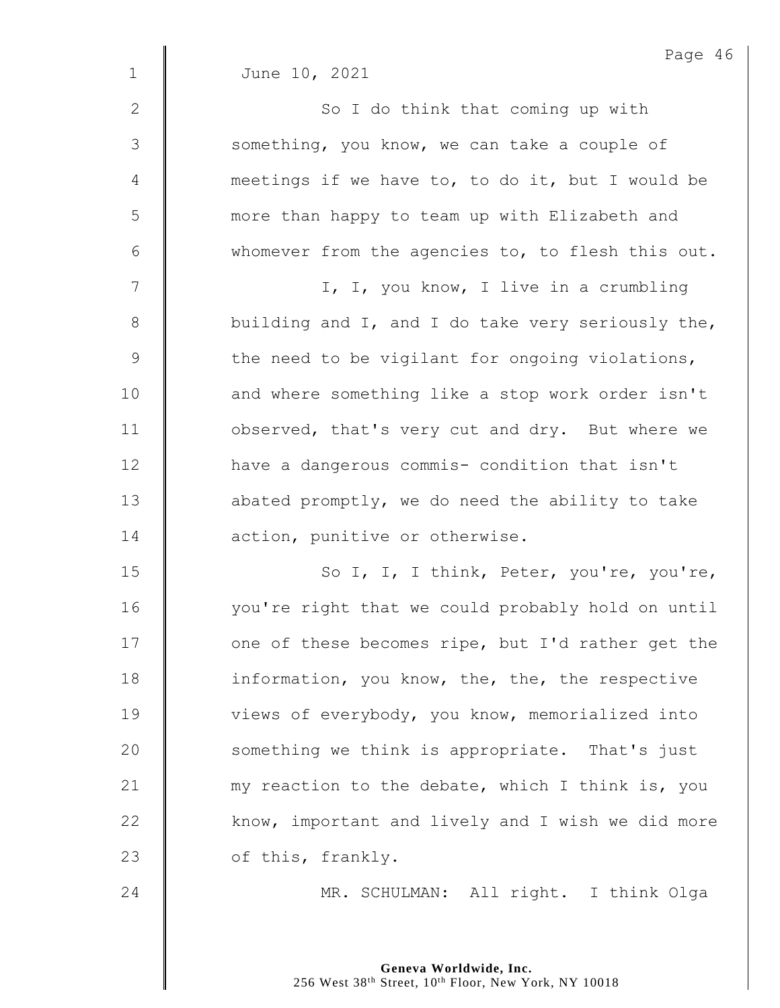|               | Page 46                                           |
|---------------|---------------------------------------------------|
| $\mathbf 1$   | June 10, 2021                                     |
| $\mathbf{2}$  | So I do think that coming up with                 |
| 3             | something, you know, we can take a couple of      |
| 4             | meetings if we have to, to do it, but I would be  |
| 5             | more than happy to team up with Elizabeth and     |
| 6             | whomever from the agencies to, to flesh this out. |
| 7             | I, I, you know, I live in a crumbling             |
| $\,8\,$       | building and I, and I do take very seriously the, |
| $\mathcal{G}$ | the need to be vigilant for ongoing violations,   |
| 10            | and where something like a stop work order isn't  |
| 11            | observed, that's very cut and dry. But where we   |
| 12            | have a dangerous commis- condition that isn't     |
| 13            | abated promptly, we do need the ability to take   |
| 14            | action, punitive or otherwise.                    |
| 15            | So I, I, I think, Peter, you're, you're,          |
| 16            | you're right that we could probably hold on until |
| 17            | one of these becomes ripe, but I'd rather get the |
| 18            | information, you know, the, the, the respective   |
| 19            | views of everybody, you know, memorialized into   |
| 20            | something we think is appropriate. That's just    |
| 21            | my reaction to the debate, which I think is, you  |
| 22            | know, important and lively and I wish we did more |
| 23            | of this, frankly.                                 |
| 24            | MR. SCHULMAN: All right. I think Olga             |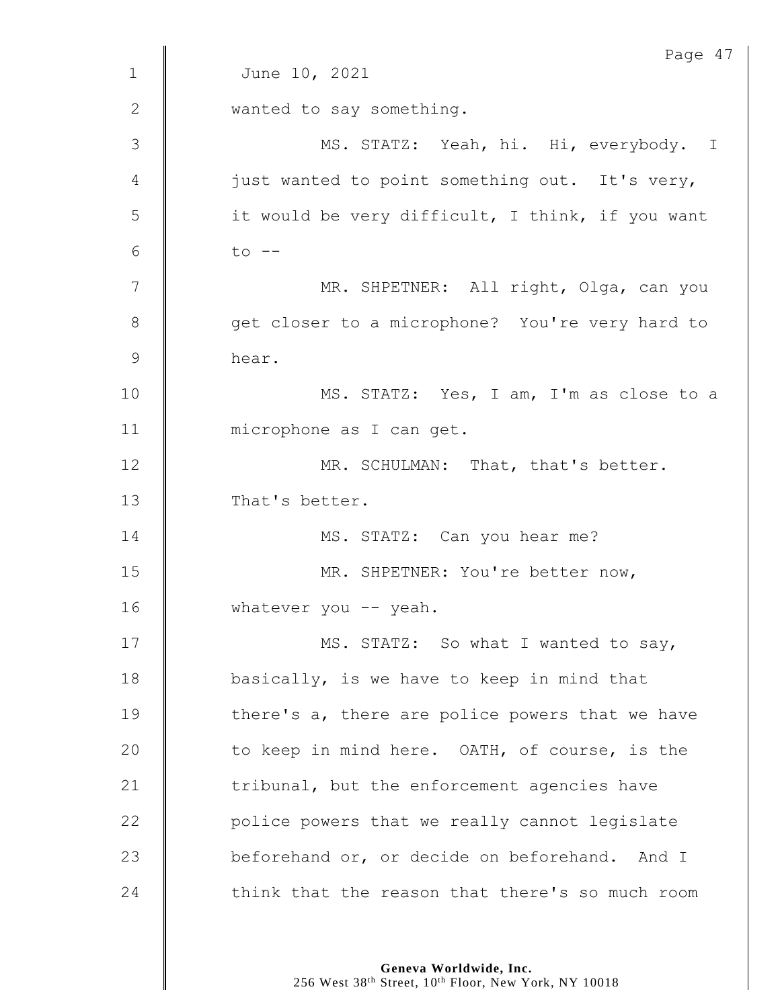|              | Page 47                                          |
|--------------|--------------------------------------------------|
| $\mathbf 1$  | June 10, 2021                                    |
| $\mathbf{2}$ | wanted to say something.                         |
| 3            | MS. STATZ: Yeah, hi. Hi, everybody. I            |
| 4            | just wanted to point something out. It's very,   |
| 5            | it would be very difficult, I think, if you want |
| 6            | $to$ $--$                                        |
| 7            | MR. SHPETNER: All right, Olga, can you           |
| 8            | get closer to a microphone? You're very hard to  |
| $\mathsf 9$  | hear.                                            |
| 10           | MS. STATZ: Yes, I am, I'm as close to a          |
| 11           | microphone as I can get.                         |
| 12           | MR. SCHULMAN: That, that's better.               |
| 13           | That's better.                                   |
| 14           | MS. STATZ: Can you hear me?                      |
| 15           | MR. SHPETNER: You're better now,                 |
| 16           | whatever you $--$ yeah.                          |
| 17           | MS. STATZ: So what I wanted to say,              |
| 18           | basically, is we have to keep in mind that       |
| 19           | there's a, there are police powers that we have  |
| 20           | to keep in mind here. OATH, of course, is the    |
| 21           | tribunal, but the enforcement agencies have      |
| 22           | police powers that we really cannot legislate    |
| 23           | beforehand or, or decide on beforehand. And I    |
| 24           | think that the reason that there's so much room  |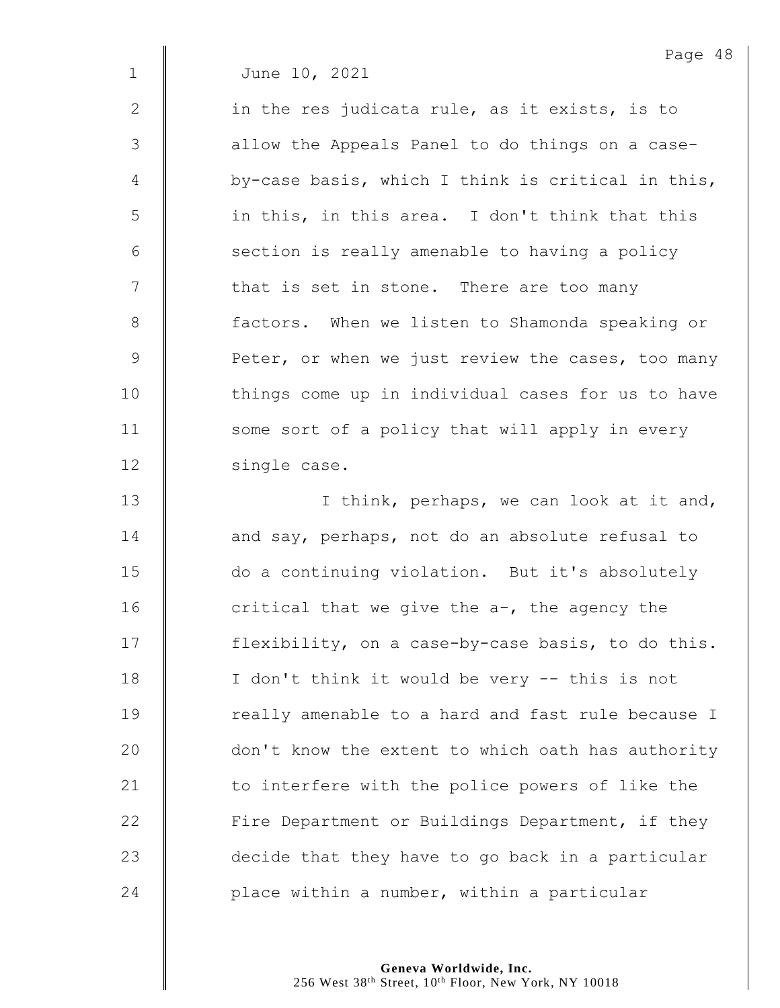2 | in the res judicata rule, as it exists, is to 3 || allow the Appeals Panel to do things on a case- $4 \parallel$  by-case basis, which I think is critical in this, 5 || in this, in this area. I don't think that this  $6$   $\parallel$  section is really amenable to having a policy 7 | that is set in stone. There are too many 8 | factors. When we listen to Shamonda speaking or 9 **Peter, or when we just review the cases, too many** 10 | things come up in individual cases for us to have 11 | some sort of a policy that will apply in every 12 | single case.

13 | I think, perhaps, we can look at it and, 14 **and say, perhaps, not do an absolute refusal to** 15 do a continuing violation. But it's absolutely 16  $\parallel$  critical that we give the a-, the agency the 17 | flexibility, on a case-by-case basis, to do this. 18 | I don't think it would be very -- this is not 19 | really amenable to a hard and fast rule because I 20 | don't know the extent to which oath has authority 21  $\parallel$  to interfere with the police powers of like the 22 | Fire Department or Buildings Department, if they  $23$   $\parallel$  decide that they have to go back in a particular 24 **place within a number, within a particular**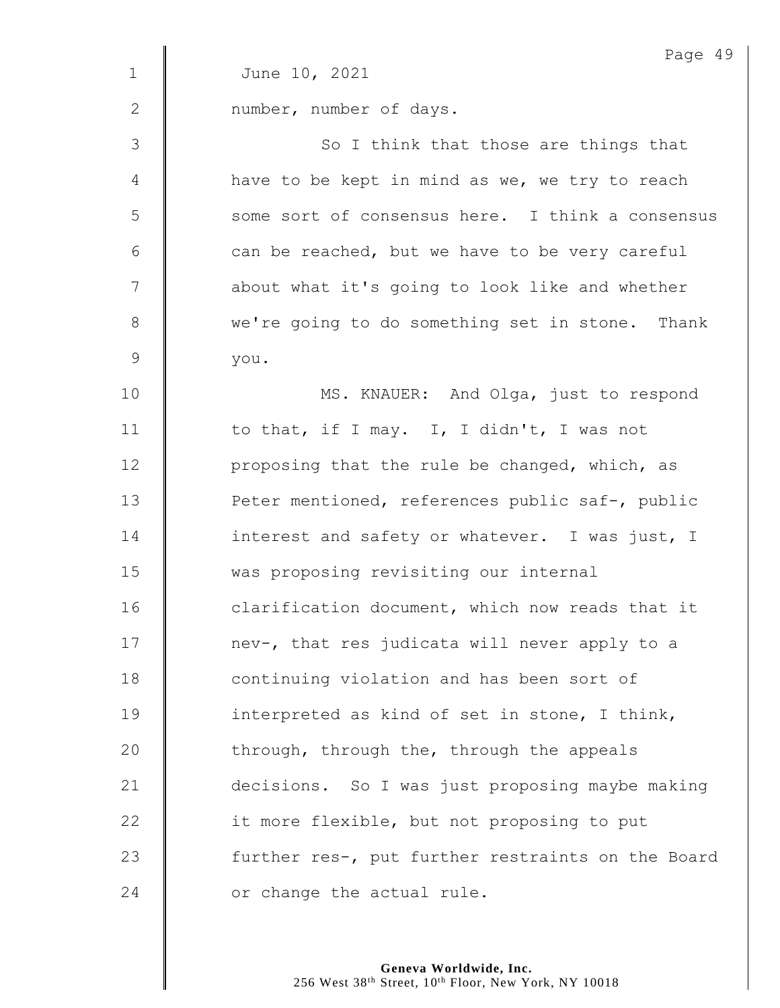|              | Page 49                                           |
|--------------|---------------------------------------------------|
| $\mathbf{1}$ | June 10, 2021                                     |
| $\mathbf{2}$ | number, number of days.                           |
| 3            | So I think that those are things that             |
| 4            | have to be kept in mind as we, we try to reach    |
| 5            | some sort of consensus here. I think a consensus  |
| 6            | can be reached, but we have to be very careful    |
| 7            | about what it's going to look like and whether    |
| 8            | we're going to do something set in stone. Thank   |
| 9            | you.                                              |
| 10           | MS. KNAUER: And Olga, just to respond             |
| 11           | to that, if I may. I, I didn't, I was not         |
| 12           | proposing that the rule be changed, which, as     |
| 13           | Peter mentioned, references public saf-, public   |
| 14           | interest and safety or whatever. I was just, I    |
| 15           | was proposing revisiting our internal             |
| 16           | clarification document, which now reads that it   |
| 17           | nev-, that res judicata will never apply to a     |
| 18           | continuing violation and has been sort of         |
| 19           | interpreted as kind of set in stone, I think,     |
| 20           | through, through the, through the appeals         |
| 21           | decisions. So I was just proposing maybe making   |
| 22           | it more flexible, but not proposing to put        |
| 23           | further res-, put further restraints on the Board |
| 24           | or change the actual rule.                        |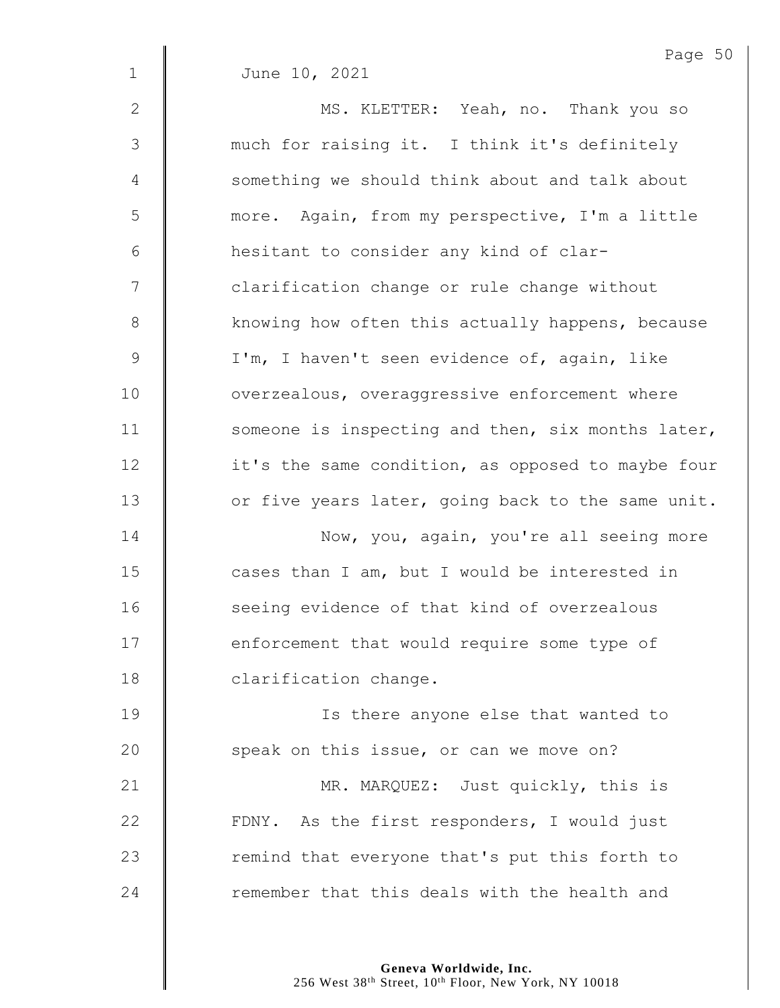2 || MS. KLETTER: Yeah, no. Thank you so 3 much for raising it. I think it's definitely 4 Something we should think about and talk about

5 more. Again, from my perspective, I'm a little 6 hesitant to consider any kind of clar-7  $\parallel$  clarification change or rule change without 8 | knowing how often this actually happens, because 9 | I'm, I haven't seen evidence of, again, like 10 **| constructs** overaggressive enforcement where 11 Someone is inspecting and then, six months later, 12 | it's the same condition, as opposed to maybe four 13 | or five years later, going back to the same unit.

14 **Now, you, again, you're all seeing more**  $15$   $\parallel$  cases than I am, but I would be interested in 16 | seeing evidence of that kind of overzealous 17 **enforcement that would require some type of** 18 | clarification change.

19 Is there anyone else that wanted to 20 **Speak on this issue, or can we move on?** 

21 | MR. MARQUEZ: Just quickly, this is 22 | FDNY. As the first responders, I would just 23  $\parallel$  remind that everyone that's put this forth to 24  $\parallel$  remember that this deals with the health and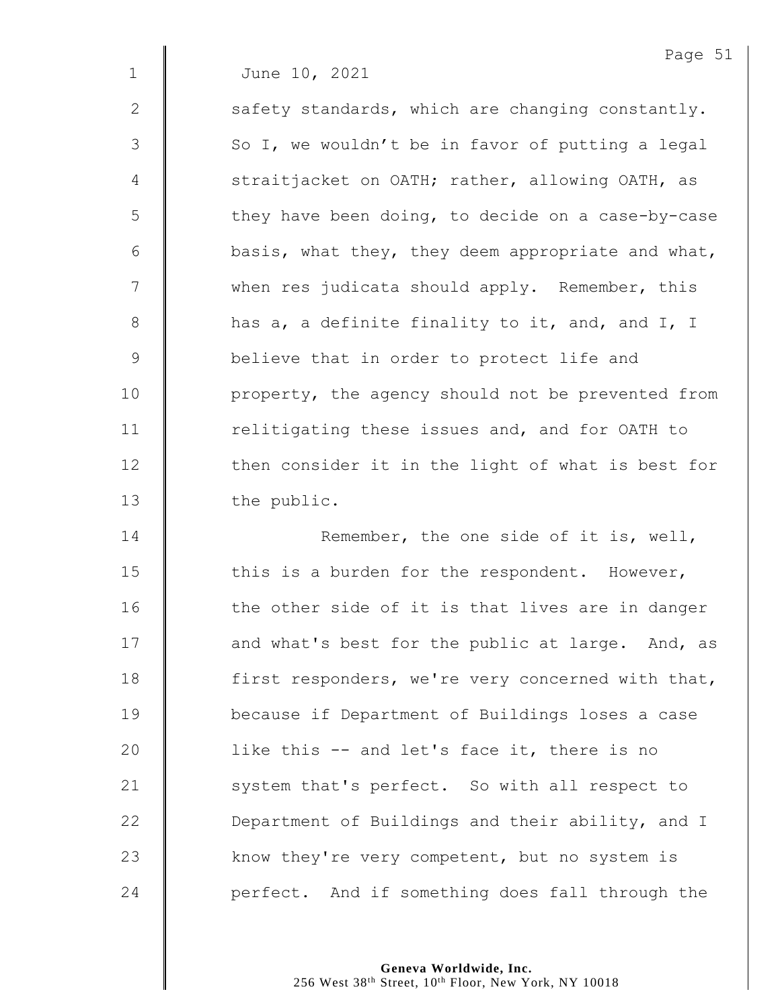$2 \parallel$  safety standards, which are changing constantly.  $3 \parallel$  So I, we wouldn't be in favor of putting a legal 4 | straitjacket on OATH; rather, allowing OATH, as 5 | they have been doing, to decide on a case-by-case  $6 \parallel$  basis, what they, they deem appropriate and what, 7 when res judicata should apply. Remember, this  $8$  | has a, a definite finality to it, and, and I, I 9 **believe that in order to protect life and** 10 | property, the agency should not be prevented from 11 Telitigating these issues and, and for OATH to 12 | then consider it in the light of what is best for 13 | the public.

**| Remember, the one side of it is, well,**  $\parallel$  this is a burden for the respondent. However, 16 | the other side of it is that lives are in danger 17 | and what's best for the public at large. And, as **first responders, we're very concerned with that,**  because if Department of Buildings loses a case **l** like this -- and let's face it, there is no 21 | system that's perfect. So with all respect to **Department of Buildings and their ability, and I** 23 Xnow they're very competent, but no system is **d** perfect. And if something does fall through the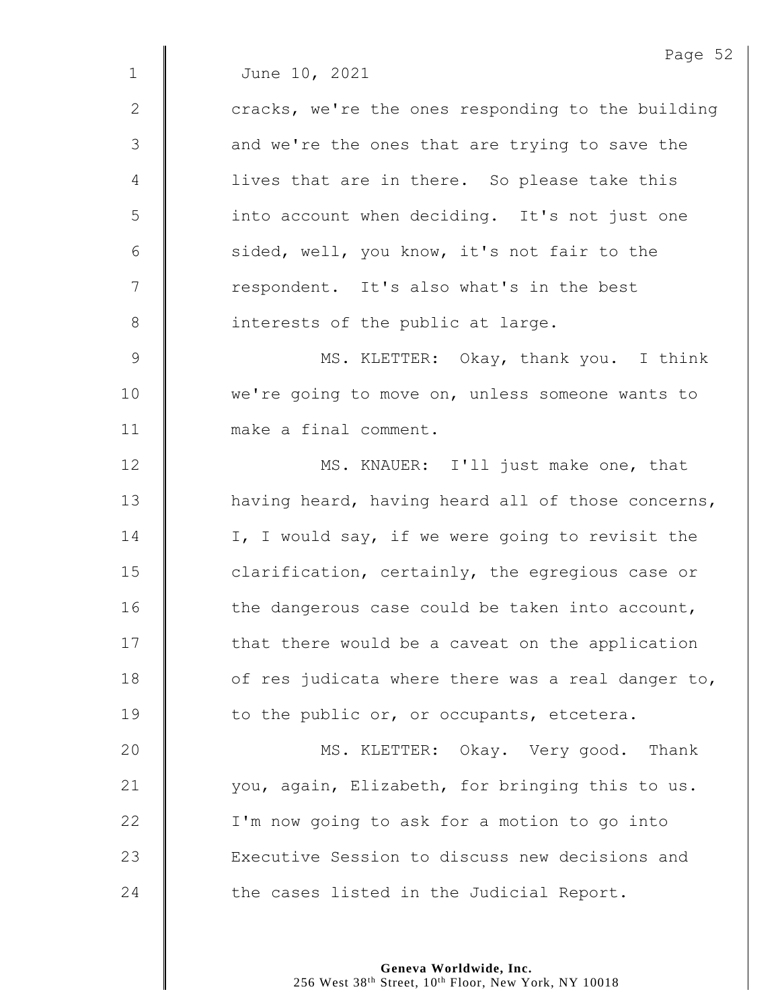|              | Page 52                                           |
|--------------|---------------------------------------------------|
| $\mathbf 1$  | June 10, 2021                                     |
| $\mathbf{2}$ | cracks, we're the ones responding to the building |
| 3            | and we're the ones that are trying to save the    |
| 4            | lives that are in there. So please take this      |
| 5            | into account when deciding. It's not just one     |
| $6\,$        | sided, well, you know, it's not fair to the       |
| 7            | respondent. It's also what's in the best          |
| $\,8\,$      | interests of the public at large.                 |
| $\mathsf 9$  | MS. KLETTER: Okay, thank you. I think             |
| 10           | we're going to move on, unless someone wants to   |
| 11           | make a final comment.                             |
| 12           | MS. KNAUER: I'll just make one, that              |
| 13           | having heard, having heard all of those concerns, |
| 14           | I, I would say, if we were going to revisit the   |
| 15           | clarification, certainly, the egregious case or   |
| 16           | the dangerous case could be taken into account,   |
| 17           | that there would be a caveat on the application   |
| 18           | of res judicata where there was a real danger to, |
| 19           | to the public or, or occupants, etcetera.         |
| 20           | MS. KLETTER: Okay. Very good. Thank               |
| 21           | you, again, Elizabeth, for bringing this to us.   |
| 22           | I'm now going to ask for a motion to go into      |
| 23           | Executive Session to discuss new decisions and    |
| 24           | the cases listed in the Judicial Report.          |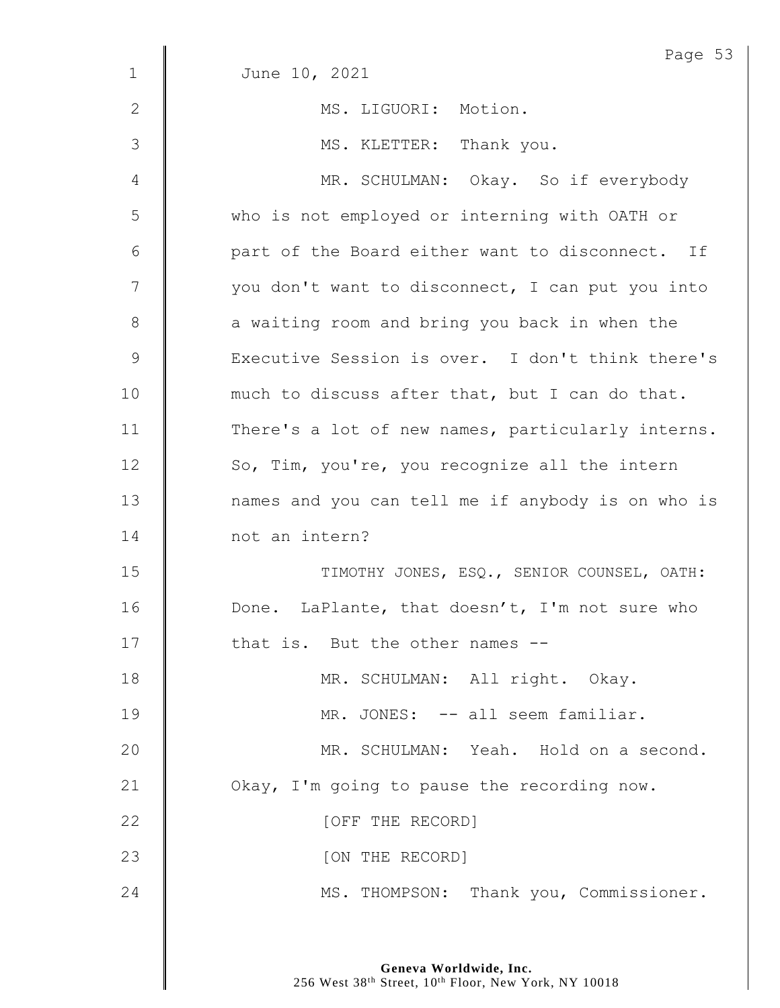|                | Page 53                                           |
|----------------|---------------------------------------------------|
| $\mathbf{1}$   | June 10, 2021                                     |
| $\mathbf{2}$   | MS. LIGUORI: Motion.                              |
| $\mathfrak{Z}$ | MS. KLETTER: Thank you.                           |
| 4              | MR. SCHULMAN: Okay. So if everybody               |
| 5              | who is not employed or interning with OATH or     |
| 6              | part of the Board either want to disconnect. If   |
| 7              | you don't want to disconnect, I can put you into  |
| $8\,$          | a waiting room and bring you back in when the     |
| $\mathsf 9$    | Executive Session is over. I don't think there's  |
| 10             | much to discuss after that, but I can do that.    |
| 11             | There's a lot of new names, particularly interns. |
| 12             | So, Tim, you're, you recognize all the intern     |
| 13             | names and you can tell me if anybody is on who is |
| 14             | not an intern?                                    |
| 15             | TIMOTHY JONES, ESQ., SENIOR COUNSEL, OATH:        |
| 16             | Done. LaPlante, that doesn't, I'm not sure who    |
| 17             | that is. But the other names --                   |
| 18             | MR. SCHULMAN: All right. Okay.                    |
| 19             | MR. JONES: -- all seem familiar.                  |
| 20             | MR. SCHULMAN: Yeah. Hold on a second.             |
| 21             | Okay, I'm going to pause the recording now.       |
| 22             | [OFF THE RECORD]                                  |
| 23             | [ON THE RECORD]                                   |
| 24             | MS. THOMPSON: Thank you, Commissioner.            |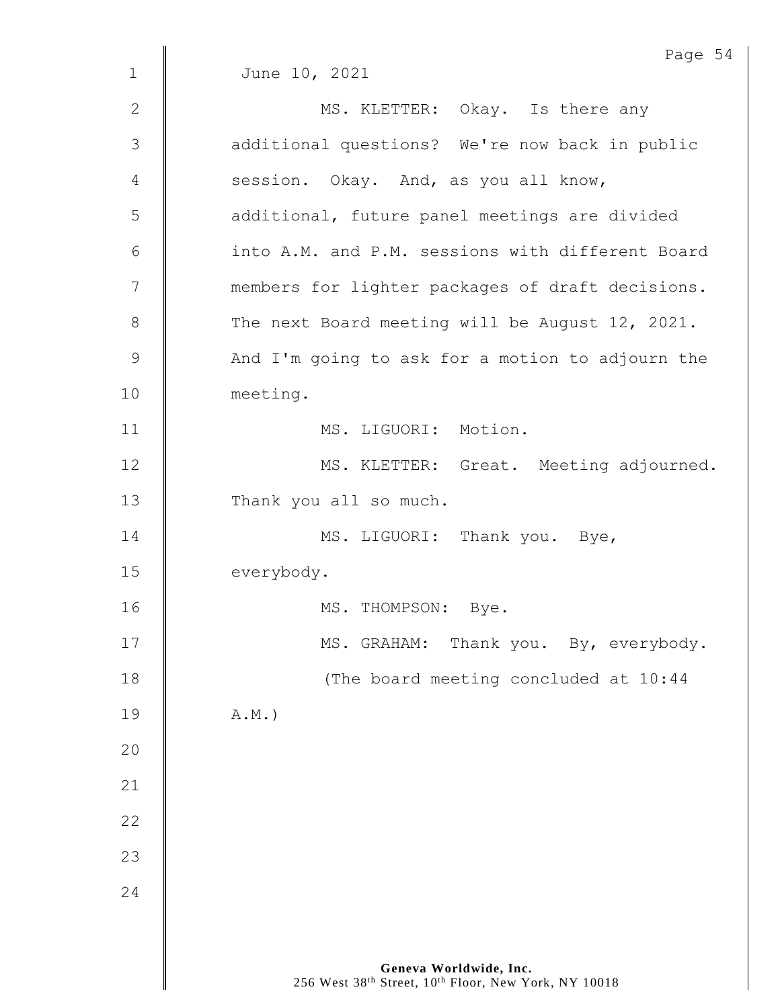|             | Page 54                                          |
|-------------|--------------------------------------------------|
| $\mathbf 1$ | June 10, 2021                                    |
| 2           | MS. KLETTER: Okay. Is there any                  |
| 3           | additional questions? We're now back in public   |
| 4           | session. Okay. And, as you all know,             |
| 5           | additional, future panel meetings are divided    |
| 6           | into A.M. and P.M. sessions with different Board |
| 7           | members for lighter packages of draft decisions. |
| $8\,$       | The next Board meeting will be August 12, 2021.  |
| $\mathsf 9$ | And I'm going to ask for a motion to adjourn the |
| 10          | meeting.                                         |
| 11          | MS. LIGUORI: Motion.                             |
| 12          | MS. KLETTER: Great. Meeting adjourned.           |
| 13          | Thank you all so much.                           |
| 14          | MS. LIGUORI: Thank you. Bye,                     |
| 15          | everybody.                                       |
| 16          | MS. THOMPSON:<br>Bye.                            |
| 17          | MS. GRAHAM: Thank you. By, everybody.            |
| 18          | (The board meeting concluded at 10:44            |
| 19          | $A.M.$ )                                         |
| 20          |                                                  |
| 21          |                                                  |
| 22          |                                                  |
| 23          |                                                  |
| 24          |                                                  |
|             |                                                  |